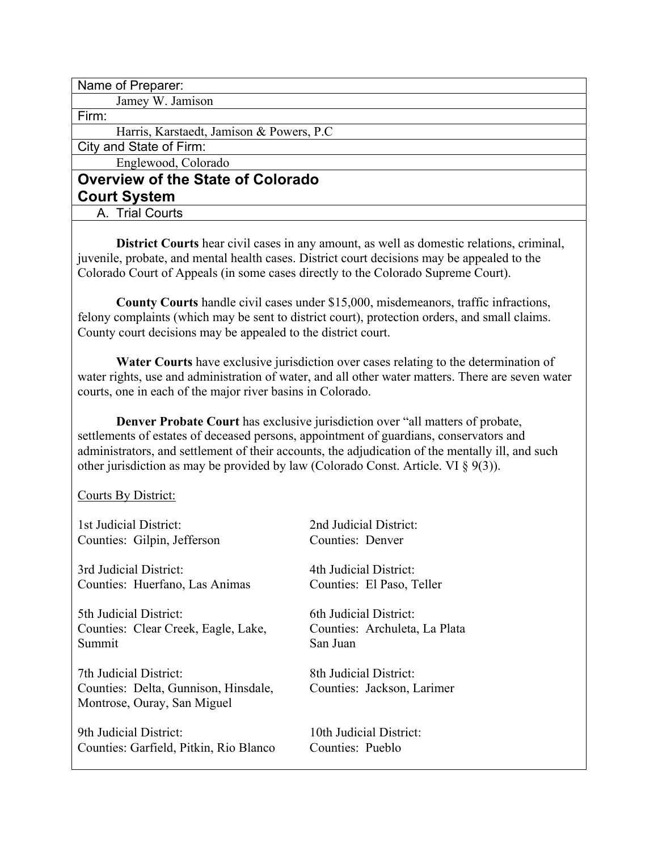Name of Preparer:

Jamey W. Jamison

Firm:

Harris, Karstaedt, Jamison & Powers, P.C

City and State of Firm:

Englewood, Colorado

# **Overview of the State of Colorado Court System**

A. Trial Courts

**District Courts** hear civil cases in any amount, as well as domestic relations, criminal, juvenile, probate, and mental health cases. District court decisions may be appealed to the Colorado Court of Appeals (in some cases directly to the Colorado Supreme Court).

**County Courts** handle civil cases under \$15,000, misdemeanors, traffic infractions, felony complaints (which may be sent to district court), protection orders, and small claims. County court decisions may be appealed to the district court.

**Water Courts** have exclusive jurisdiction over cases relating to the determination of water rights, use and administration of water, and all other water matters. There are seven water courts, one in each of the major river basins in Colorado.

**Denver Probate Court** has exclusive jurisdiction over "all matters of probate, settlements of estates of deceased persons, appointment of guardians, conservators and administrators, and settlement of their accounts, the adjudication of the mentally ill, and such other jurisdiction as may be provided by law (Colorado Const. Article. VI § 9(3)).

Courts By District:

| 1st Judicial District:                                                                        | 2nd Judicial District:                               |
|-----------------------------------------------------------------------------------------------|------------------------------------------------------|
| Counties: Gilpin, Jefferson                                                                   | Counties: Denver                                     |
| 3rd Judicial District:                                                                        | 4th Judicial District:                               |
| Counties: Huerfano, Las Animas                                                                | Counties: El Paso, Teller                            |
| 5th Judicial District:                                                                        | 6th Judicial District:                               |
| Counties: Clear Creek, Eagle, Lake,                                                           | Counties: Archuleta, La Plata                        |
| Summit                                                                                        | San Juan                                             |
| 7th Judicial District:<br>Counties: Delta, Gunnison, Hinsdale,<br>Montrose, Ouray, San Miguel | 8th Judicial District:<br>Counties: Jackson, Larimer |
| 9th Judicial District:                                                                        | 10th Judicial District:                              |
| Counties: Garfield, Pitkin, Rio Blanco                                                        | Counties: Pueblo                                     |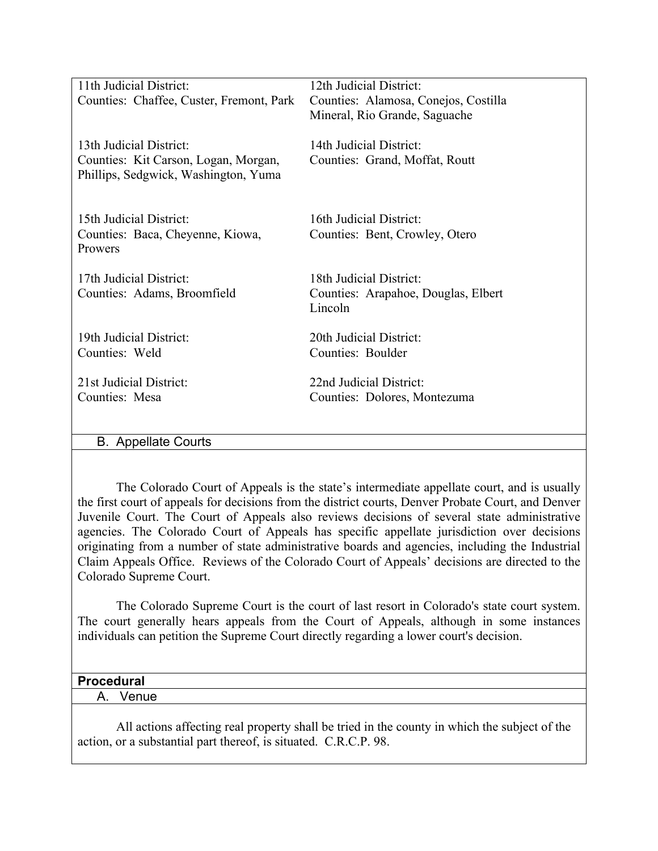| 11th Judicial District:                                                                                 | 12th Judicial District:                                   |
|---------------------------------------------------------------------------------------------------------|-----------------------------------------------------------|
| Counties: Chaffee, Custer, Fremont, Park                                                                | Counties: Alamosa, Conejos, Costilla                      |
|                                                                                                         | Mineral, Rio Grande, Saguache                             |
| 13th Judicial District:<br>Counties: Kit Carson, Logan, Morgan,<br>Phillips, Sedgwick, Washington, Yuma | 14th Judicial District:<br>Counties: Grand, Moffat, Routt |
|                                                                                                         |                                                           |
| 15th Judicial District:                                                                                 | 16th Judicial District:                                   |
| Counties: Baca, Cheyenne, Kiowa,<br>Prowers                                                             | Counties: Bent, Crowley, Otero                            |
|                                                                                                         |                                                           |
| 17th Judicial District:                                                                                 | 18th Judicial District:                                   |
| Counties: Adams, Broomfield                                                                             | Counties: Arapahoe, Douglas, Elbert                       |
|                                                                                                         | Lincoln                                                   |
|                                                                                                         |                                                           |
| 19th Judicial District:                                                                                 | 20th Judicial District:                                   |
| Counties: Weld                                                                                          | Counties: Boulder                                         |
| 21st Judicial District:                                                                                 | 22nd Judicial District:                                   |
| Counties: Mesa                                                                                          | Counties: Dolores, Montezuma                              |
|                                                                                                         |                                                           |
| <b>B.</b> Appellate Courts                                                                              |                                                           |
|                                                                                                         |                                                           |

The Colorado Court of Appeals is the state's intermediate appellate court, and is usually the first court of appeals for decisions from the district courts, Denver Probate Court, and Denver Juvenile Court. The Court of Appeals also reviews decisions of several state administrative agencies. The Colorado Court of Appeals has specific appellate jurisdiction over decisions originating from a number of state administrative boards and agencies, including the Industrial Claim Appeals Office. Reviews of the Colorado Court of Appeals' decisions are directed to the Colorado Supreme Court.

The Colorado Supreme Court is the court of last resort in Colorado's state court system. The court generally hears appeals from the Court of Appeals, although in some instances individuals can petition the Supreme Court directly regarding a lower court's decision.

### **Procedural**

A. Venue

All actions affecting real property shall be tried in the county in which the subject of the action, or a substantial part thereof, is situated. C.R.C.P. 98.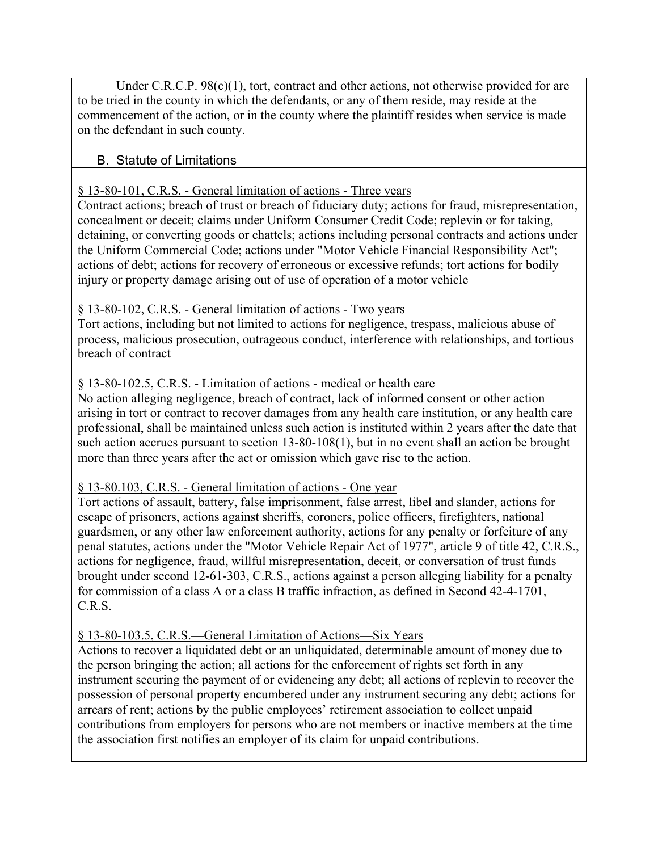Under C.R.C.P. 98(c)(1), tort, contract and other actions, not otherwise provided for are to be tried in the county in which the defendants, or any of them reside, may reside at the commencement of the action, or in the county where the plaintiff resides when service is made on the defendant in such county.

### B. Statute of Limitations

### § 13-80-101, C.R.S. - General limitation of actions - Three years

Contract actions; breach of trust or breach of fiduciary duty; actions for fraud, misrepresentation, concealment or deceit; claims under Uniform Consumer Credit Code; replevin or for taking, detaining, or converting goods or chattels; actions including personal contracts and actions under the Uniform Commercial Code; actions under "Motor Vehicle Financial Responsibility Act"; actions of debt; actions for recovery of erroneous or excessive refunds; tort actions for bodily injury or property damage arising out of use of operation of a motor vehicle

### § 13-80-102, C.R.S. - General limitation of actions - Two years

Tort actions, including but not limited to actions for negligence, trespass, malicious abuse of process, malicious prosecution, outrageous conduct, interference with relationships, and tortious breach of contract

### § 13-80-102.5, C.R.S. - Limitation of actions - medical or health care

No action alleging negligence, breach of contract, lack of informed consent or other action arising in tort or contract to recover damages from any health care institution, or any health care professional, shall be maintained unless such action is instituted within 2 years after the date that such action accrues pursuant to section 13-80-108(1), but in no event shall an action be brought more than three years after the act or omission which gave rise to the action.

### § 13-80.103, C.R.S. - General limitation of actions - One year

Tort actions of assault, battery, false imprisonment, false arrest, libel and slander, actions for escape of prisoners, actions against sheriffs, coroners, police officers, firefighters, national guardsmen, or any other law enforcement authority, actions for any penalty or forfeiture of any penal statutes, actions under the "Motor Vehicle Repair Act of 1977", article 9 of title 42, C.R.S., actions for negligence, fraud, willful misrepresentation, deceit, or conversation of trust funds brought under second 12-61-303, C.R.S., actions against a person alleging liability for a penalty for commission of a class A or a class B traffic infraction, as defined in Second 42-4-1701, C.R.S.

### § 13-80-103.5, C.R.S.—General Limitation of Actions—Six Years

Actions to recover a liquidated debt or an unliquidated, determinable amount of money due to the person bringing the action; all actions for the enforcement of rights set forth in any instrument securing the payment of or evidencing any debt; all actions of replevin to recover the possession of personal property encumbered under any instrument securing any debt; actions for arrears of rent; actions by the public employees' retirement association to collect unpaid contributions from employers for persons who are not members or inactive members at the time the association first notifies an employer of its claim for unpaid contributions.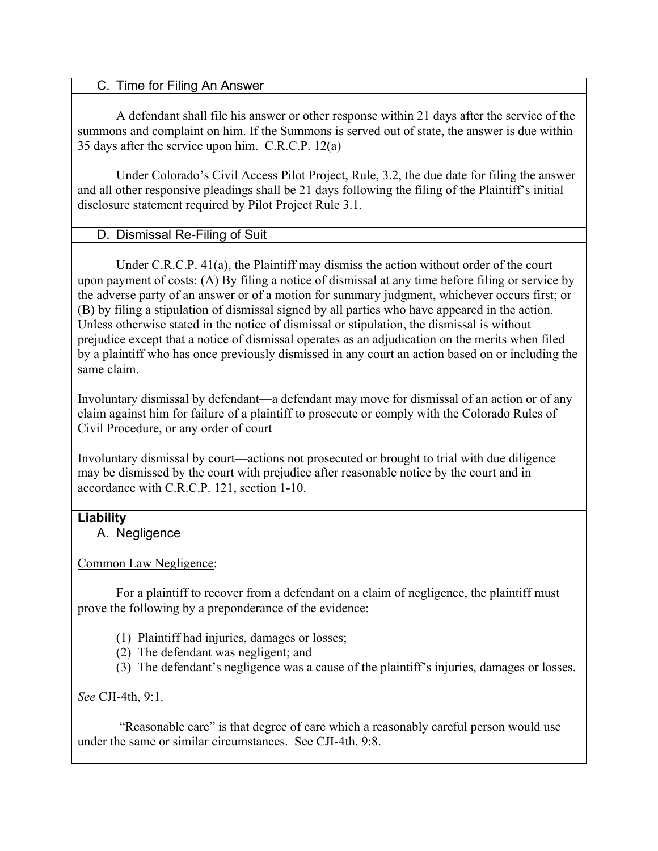### C. Time for Filing An Answer

A defendant shall file his answer or other response within 21 days after the service of the summons and complaint on him. If the Summons is served out of state, the answer is due within 35 days after the service upon him. C.R.C.P. 12(a)

Under Colorado's Civil Access Pilot Project, Rule, 3.2, the due date for filing the answer and all other responsive pleadings shall be 21 days following the filing of the Plaintiff's initial disclosure statement required by Pilot Project Rule 3.1.

### D. Dismissal Re-Filing of Suit

Under C.R.C.P. 41(a), the Plaintiff may dismiss the action without order of the court upon payment of costs: (A) By filing a notice of dismissal at any time before filing or service by the adverse party of an answer or of a motion for summary judgment, whichever occurs first; or (B) by filing a stipulation of dismissal signed by all parties who have appeared in the action. Unless otherwise stated in the notice of dismissal or stipulation, the dismissal is without prejudice except that a notice of dismissal operates as an adjudication on the merits when filed by a plaintiff who has once previously dismissed in any court an action based on or including the same claim.

Involuntary dismissal by defendant—a defendant may move for dismissal of an action or of any claim against him for failure of a plaintiff to prosecute or comply with the Colorado Rules of Civil Procedure, or any order of court

Involuntary dismissal by court—actions not prosecuted or brought to trial with due diligence may be dismissed by the court with prejudice after reasonable notice by the court and in accordance with C.R.C.P. 121, section 1-10.

### **Liability**

A. Negligence

Common Law Negligence:

For a plaintiff to recover from a defendant on a claim of negligence, the plaintiff must prove the following by a preponderance of the evidence:

- (1) Plaintiff had injuries, damages or losses;
- (2) The defendant was negligent; and
- (3) The defendant's negligence was a cause of the plaintiff's injuries, damages or losses.

*See* CJI-4th, 9:1.

 "Reasonable care" is that degree of care which a reasonably careful person would use under the same or similar circumstances. See CJI-4th, 9:8.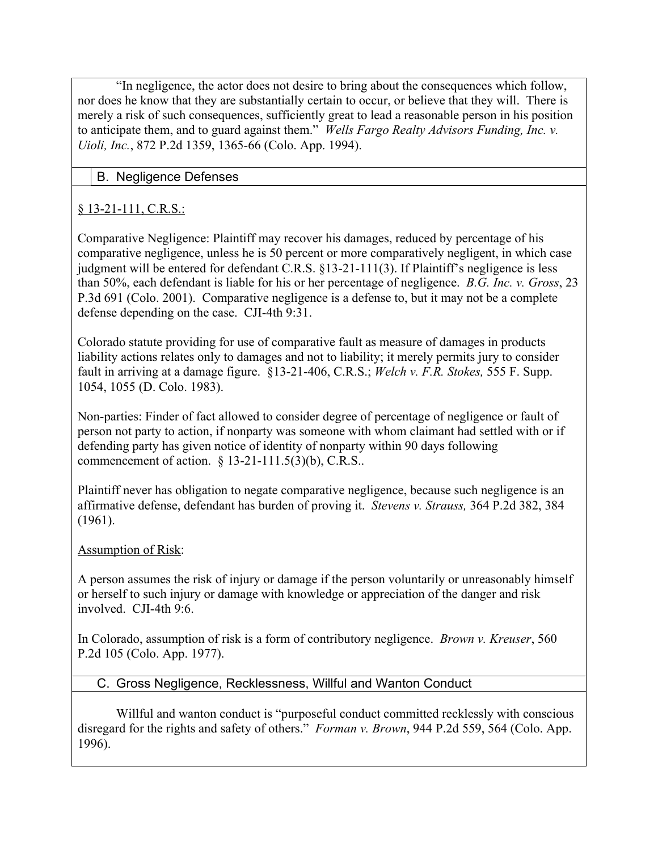"In negligence, the actor does not desire to bring about the consequences which follow, nor does he know that they are substantially certain to occur, or believe that they will. There is merely a risk of such consequences, sufficiently great to lead a reasonable person in his position to anticipate them, and to guard against them." *Wells Fargo Realty Advisors Funding, Inc. v. Uioli, Inc.*, 872 P.2d 1359, 1365-66 (Colo. App. 1994).

## B. Negligence Defenses

## § 13-21-111, C.R.S.:

Comparative Negligence: Plaintiff may recover his damages, reduced by percentage of his comparative negligence, unless he is 50 percent or more comparatively negligent, in which case judgment will be entered for defendant C.R.S. §13-21-111(3). If Plaintiff's negligence is less than 50%, each defendant is liable for his or her percentage of negligence. *B.G. Inc. v. Gross*, 23 P.3d 691 (Colo. 2001). Comparative negligence is a defense to, but it may not be a complete defense depending on the case. CJI-4th 9:31.

Colorado statute providing for use of comparative fault as measure of damages in products liability actions relates only to damages and not to liability; it merely permits jury to consider fault in arriving at a damage figure. §13-21-406, C.R.S.; *Welch v. F.R. Stokes,* 555 F. Supp. 1054, 1055 (D. Colo. 1983).

Non-parties: Finder of fact allowed to consider degree of percentage of negligence or fault of person not party to action, if nonparty was someone with whom claimant had settled with or if defending party has given notice of identity of nonparty within 90 days following commencement of action. § 13-21-111.5(3)(b), C.R.S..

Plaintiff never has obligation to negate comparative negligence, because such negligence is an affirmative defense, defendant has burden of proving it. *Stevens v. Strauss,* 364 P.2d 382, 384 (1961).

## Assumption of Risk:

A person assumes the risk of injury or damage if the person voluntarily or unreasonably himself or herself to such injury or damage with knowledge or appreciation of the danger and risk involved. CJI-4th 9:6.

In Colorado, assumption of risk is a form of contributory negligence. *Brown v. Kreuser*, 560 P.2d 105 (Colo. App. 1977).

## C. Gross Negligence, Recklessness, Willful and Wanton Conduct

Willful and wanton conduct is "purposeful conduct committed recklessly with conscious disregard for the rights and safety of others." *Forman v. Brown*, 944 P.2d 559, 564 (Colo. App. 1996).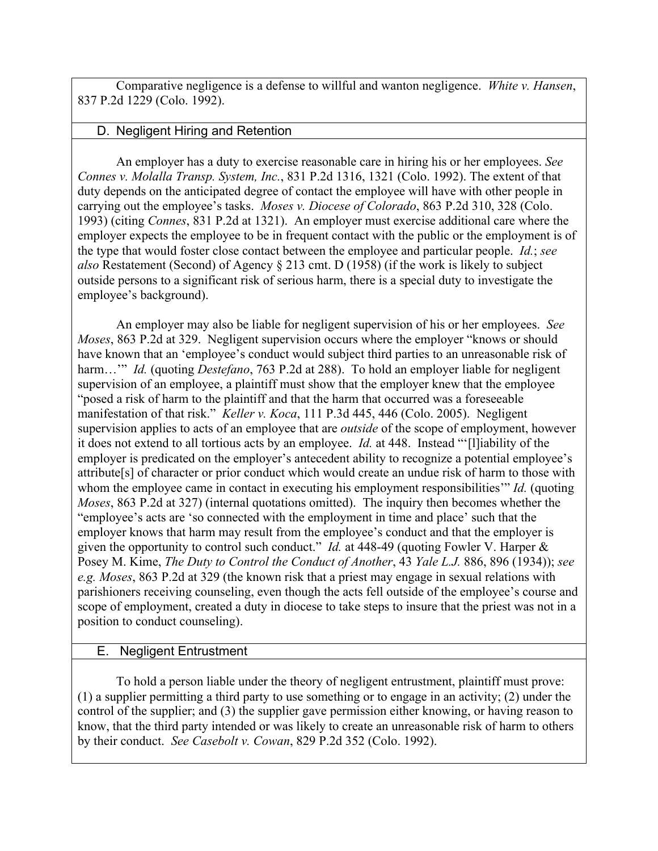Comparative negligence is a defense to willful and wanton negligence. *White v. Hansen*, 837 P.2d 1229 (Colo. 1992).

### D. Negligent Hiring and Retention

An employer has a duty to exercise reasonable care in hiring his or her employees. *See Connes v. Molalla Transp. System, Inc.*, 831 P.2d 1316, 1321 (Colo. 1992). The extent of that duty depends on the anticipated degree of contact the employee will have with other people in carrying out the employee's tasks. *Moses v. Diocese of Colorado*, 863 P.2d 310, 328 (Colo. 1993) (citing *Connes*, 831 P.2d at 1321). An employer must exercise additional care where the employer expects the employee to be in frequent contact with the public or the employment is of the type that would foster close contact between the employee and particular people. *Id.*; *see also* Restatement (Second) of Agency § 213 cmt. D (1958) (if the work is likely to subject outside persons to a significant risk of serious harm, there is a special duty to investigate the employee's background).

An employer may also be liable for negligent supervision of his or her employees. *See Moses*, 863 P.2d at 329. Negligent supervision occurs where the employer "knows or should have known that an 'employee's conduct would subject third parties to an unreasonable risk of harm..." *Id.* (quoting *Destefano*, 763 P.2d at 288). To hold an employer liable for negligent supervision of an employee, a plaintiff must show that the employer knew that the employee "posed a risk of harm to the plaintiff and that the harm that occurred was a foreseeable manifestation of that risk." *Keller v. Koca*, 111 P.3d 445, 446 (Colo. 2005). Negligent supervision applies to acts of an employee that are *outside* of the scope of employment, however it does not extend to all tortious acts by an employee. *Id.* at 448. Instead "'[l]iability of the employer is predicated on the employer's antecedent ability to recognize a potential employee's attribute[s] of character or prior conduct which would create an undue risk of harm to those with whom the employee came in contact in executing his employment responsibilities'" *Id.* (quoting *Moses*, 863 P.2d at 327) (internal quotations omitted). The inquiry then becomes whether the "employee's acts are 'so connected with the employment in time and place' such that the employer knows that harm may result from the employee's conduct and that the employer is given the opportunity to control such conduct." *Id.* at 448-49 (quoting Fowler V. Harper & Posey M. Kime, *The Duty to Control the Conduct of Another*, 43 *Yale L.J.* 886, 896 (1934)); *see e.g. Moses*, 863 P.2d at 329 (the known risk that a priest may engage in sexual relations with parishioners receiving counseling, even though the acts fell outside of the employee's course and scope of employment, created a duty in diocese to take steps to insure that the priest was not in a position to conduct counseling).

## E. Negligent Entrustment

To hold a person liable under the theory of negligent entrustment, plaintiff must prove: (1) a supplier permitting a third party to use something or to engage in an activity; (2) under the control of the supplier; and (3) the supplier gave permission either knowing, or having reason to know, that the third party intended or was likely to create an unreasonable risk of harm to others by their conduct. *See Casebolt v. Cowan*, 829 P.2d 352 (Colo. 1992).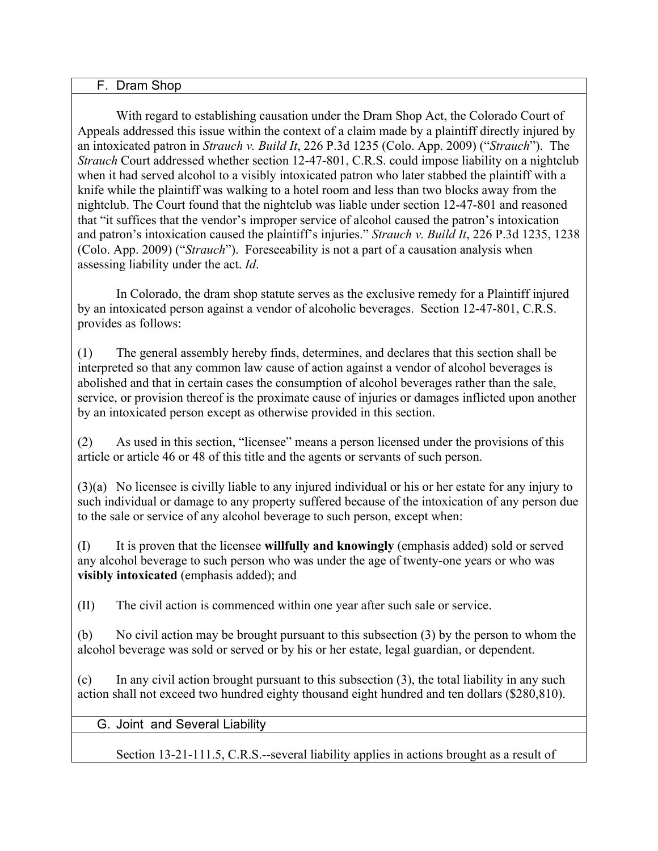#### F. Dram Shop

With regard to establishing causation under the Dram Shop Act, the Colorado Court of Appeals addressed this issue within the context of a claim made by a plaintiff directly injured by an intoxicated patron in *Strauch v. Build It*, 226 P.3d 1235 (Colo. App. 2009) ("*Strauch*"). The *Strauch* Court addressed whether section 12-47-801, C.R.S. could impose liability on a nightclub when it had served alcohol to a visibly intoxicated patron who later stabbed the plaintiff with a knife while the plaintiff was walking to a hotel room and less than two blocks away from the nightclub. The Court found that the nightclub was liable under section 12-47-801 and reasoned that "it suffices that the vendor's improper service of alcohol caused the patron's intoxication and patron's intoxication caused the plaintiff's injuries." *Strauch v. Build It*, 226 P.3d 1235, 1238 (Colo. App. 2009) ("*Strauch*"). Foreseeability is not a part of a causation analysis when assessing liability under the act. *Id*.

In Colorado, the dram shop statute serves as the exclusive remedy for a Plaintiff injured by an intoxicated person against a vendor of alcoholic beverages. Section 12-47-801, C.R.S. provides as follows:

(1) The general assembly hereby finds, determines, and declares that this section shall be interpreted so that any common law cause of action against a vendor of alcohol beverages is abolished and that in certain cases the consumption of alcohol beverages rather than the sale, service, or provision thereof is the proximate cause of injuries or damages inflicted upon another by an intoxicated person except as otherwise provided in this section.

(2) As used in this section, "licensee" means a person licensed under the provisions of this article or article 46 or 48 of this title and the agents or servants of such person.

(3)(a) No licensee is civilly liable to any injured individual or his or her estate for any injury to such individual or damage to any property suffered because of the intoxication of any person due to the sale or service of any alcohol beverage to such person, except when:

(I) It is proven that the licensee **willfully and knowingly** (emphasis added) sold or served any alcohol beverage to such person who was under the age of twenty-one years or who was **visibly intoxicated** (emphasis added); and

(II) The civil action is commenced within one year after such sale or service.

(b) No civil action may be brought pursuant to this subsection (3) by the person to whom the alcohol beverage was sold or served or by his or her estate, legal guardian, or dependent.

(c) In any civil action brought pursuant to this subsection (3), the total liability in any such action shall not exceed two hundred eighty thousand eight hundred and ten dollars (\$280,810).

### G. Joint and Several Liability

Section 13-21-111.5, C.R.S.--several liability applies in actions brought as a result of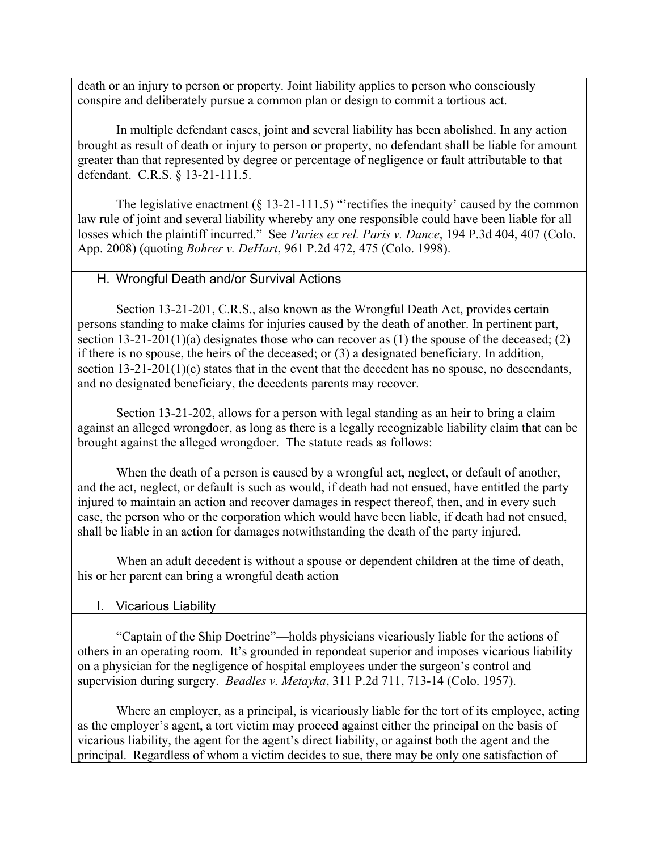death or an injury to person or property. Joint liability applies to person who consciously conspire and deliberately pursue a common plan or design to commit a tortious act.

In multiple defendant cases, joint and several liability has been abolished. In any action brought as result of death or injury to person or property, no defendant shall be liable for amount greater than that represented by degree or percentage of negligence or fault attributable to that defendant. C.R.S. § 13-21-111.5.

The legislative enactment  $(\S 13-21-111.5)$  "rectifies the inequity' caused by the common law rule of joint and several liability whereby any one responsible could have been liable for all losses which the plaintiff incurred." See *Paries ex rel. Paris v. Dance*, 194 P.3d 404, 407 (Colo. App. 2008) (quoting *Bohrer v. DeHart*, 961 P.2d 472, 475 (Colo. 1998).

### H. Wrongful Death and/or Survival Actions

Section 13-21-201, C.R.S., also known as the Wrongful Death Act, provides certain persons standing to make claims for injuries caused by the death of another. In pertinent part, section  $13-21-201(1)(a)$  designates those who can recover as (1) the spouse of the deceased; (2) if there is no spouse, the heirs of the deceased; or (3) a designated beneficiary. In addition, section 13-21-201(1)(c) states that in the event that the decedent has no spouse, no descendants, and no designated beneficiary, the decedents parents may recover.

Section 13-21-202, allows for a person with legal standing as an heir to bring a claim against an alleged wrongdoer, as long as there is a legally recognizable liability claim that can be brought against the alleged wrongdoer. The statute reads as follows:

When the death of a person is caused by a wrongful act, neglect, or default of another, and the act, neglect, or default is such as would, if death had not ensued, have entitled the party injured to maintain an action and recover damages in respect thereof, then, and in every such case, the person who or the corporation which would have been liable, if death had not ensued, shall be liable in an action for damages notwithstanding the death of the party injured.

When an adult decedent is without a spouse or dependent children at the time of death, his or her parent can bring a wrongful death action

### I. Vicarious Liability

"Captain of the Ship Doctrine"—holds physicians vicariously liable for the actions of others in an operating room. It's grounded in repondeat superior and imposes vicarious liability on a physician for the negligence of hospital employees under the surgeon's control and supervision during surgery. *Beadles v. Metayka*, 311 P.2d 711, 713-14 (Colo. 1957).

Where an employer, as a principal, is vicariously liable for the tort of its employee, acting as the employer's agent, a tort victim may proceed against either the principal on the basis of vicarious liability, the agent for the agent's direct liability, or against both the agent and the principal. Regardless of whom a victim decides to sue, there may be only one satisfaction of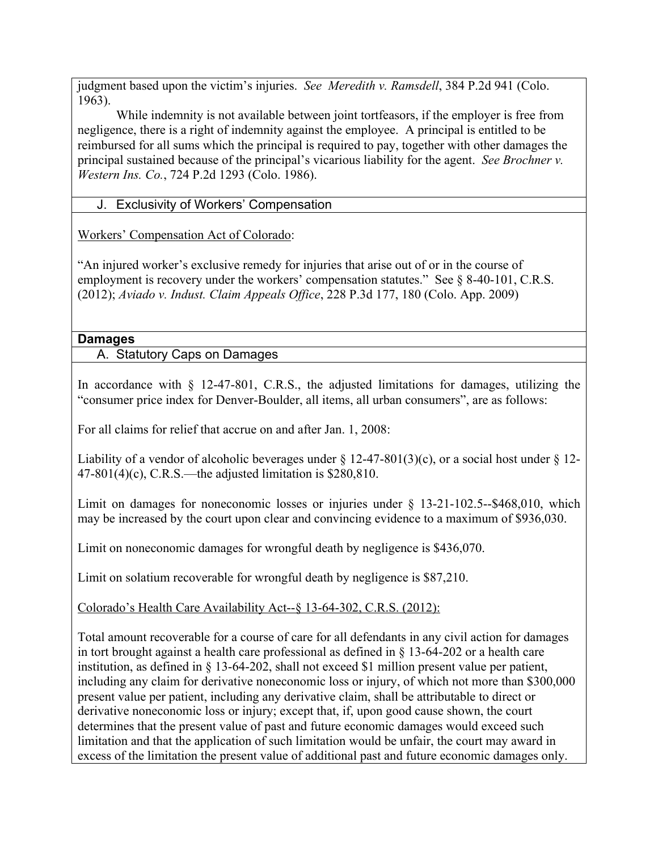judgment based upon the victim's injuries. *See Meredith v. Ramsdell*, 384 P.2d 941 (Colo. 1963).

While indemnity is not available between joint tortfeasors, if the employer is free from negligence, there is a right of indemnity against the employee. A principal is entitled to be reimbursed for all sums which the principal is required to pay, together with other damages the principal sustained because of the principal's vicarious liability for the agent. *See Brochner v. Western Ins. Co.*, 724 P.2d 1293 (Colo. 1986).

## J. Exclusivity of Workers' Compensation

Workers' Compensation Act of Colorado:

"An injured worker's exclusive remedy for injuries that arise out of or in the course of employment is recovery under the workers' compensation statutes." See  $\&$  8-40-101, C.R.S. (2012); *Aviado v. Indust. Claim Appeals Office*, 228 P.3d 177, 180 (Colo. App. 2009)

## **Damages**

A. Statutory Caps on Damages

In accordance with  $\frac{12-47-801}{10}$ . C.R.S., the adjusted limitations for damages, utilizing the "consumer price index for Denver-Boulder, all items, all urban consumers", are as follows:

For all claims for relief that accrue on and after Jan. 1, 2008:

Liability of a vendor of alcoholic beverages under  $\S$  12-47-801(3)(c), or a social host under  $\S$  12-47-801(4)(c), C.R.S.—the adjusted limitation is \$280,810.

Limit on damages for noneconomic losses or injuries under  $\S$  13-21-102.5--\$468,010, which may be increased by the court upon clear and convincing evidence to a maximum of \$936,030.

Limit on noneconomic damages for wrongful death by negligence is \$436,070.

Limit on solatium recoverable for wrongful death by negligence is \$87,210.

Colorado's Health Care Availability Act--§ 13-64-302, C.R.S. (2012):

Total amount recoverable for a course of care for all defendants in any civil action for damages in tort brought against a health care professional as defined in  $\S$  13-64-202 or a health care institution, as defined in § 13-64-202, shall not exceed \$1 million present value per patient, including any claim for derivative noneconomic loss or injury, of which not more than \$300,000 present value per patient, including any derivative claim, shall be attributable to direct or derivative noneconomic loss or injury; except that, if, upon good cause shown, the court determines that the present value of past and future economic damages would exceed such limitation and that the application of such limitation would be unfair, the court may award in excess of the limitation the present value of additional past and future economic damages only.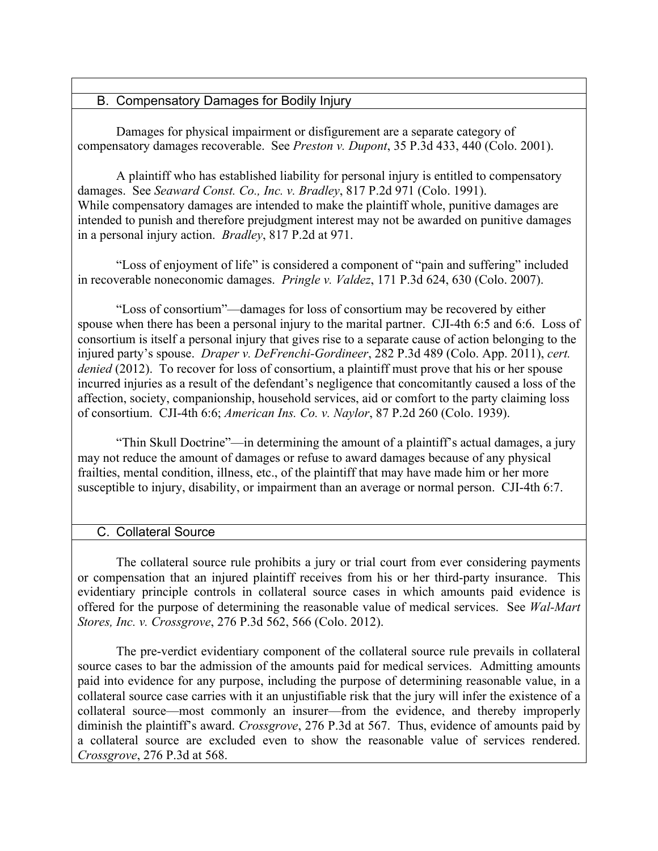### B. Compensatory Damages for Bodily Injury

Damages for physical impairment or disfigurement are a separate category of compensatory damages recoverable. See *Preston v. Dupont*, 35 P.3d 433, 440 (Colo. 2001).

A plaintiff who has established liability for personal injury is entitled to compensatory damages. See *Seaward Const. Co., Inc. v. Bradley*, 817 P.2d 971 (Colo. 1991). While compensatory damages are intended to make the plaintiff whole, punitive damages are intended to punish and therefore prejudgment interest may not be awarded on punitive damages in a personal injury action. *Bradley*, 817 P.2d at 971.

"Loss of enjoyment of life" is considered a component of "pain and suffering" included in recoverable noneconomic damages. *Pringle v. Valdez*, 171 P.3d 624, 630 (Colo. 2007).

"Loss of consortium"—damages for loss of consortium may be recovered by either spouse when there has been a personal injury to the marital partner. CJI-4th 6:5 and 6:6. Loss of consortium is itself a personal injury that gives rise to a separate cause of action belonging to the injured party's spouse. *Draper v. DeFrenchi-Gordineer*, 282 P.3d 489 (Colo. App. 2011), *cert. denied* (2012). To recover for loss of consortium, a plaintiff must prove that his or her spouse incurred injuries as a result of the defendant's negligence that concomitantly caused a loss of the affection, society, companionship, household services, aid or comfort to the party claiming loss of consortium. CJI-4th 6:6; *American Ins. Co. v. Naylor*, 87 P.2d 260 (Colo. 1939).

"Thin Skull Doctrine"—in determining the amount of a plaintiff's actual damages, a jury may not reduce the amount of damages or refuse to award damages because of any physical frailties, mental condition, illness, etc., of the plaintiff that may have made him or her more susceptible to injury, disability, or impairment than an average or normal person. CJI-4th 6:7.

### C. Collateral Source

The collateral source rule prohibits a jury or trial court from ever considering payments or compensation that an injured plaintiff receives from his or her third-party insurance. This evidentiary principle controls in collateral source cases in which amounts paid evidence is offered for the purpose of determining the reasonable value of medical services. See *Wal-Mart Stores, Inc. v. Crossgrove*, 276 P.3d 562, 566 (Colo. 2012).

The pre-verdict evidentiary component of the collateral source rule prevails in collateral source cases to bar the admission of the amounts paid for medical services. Admitting amounts paid into evidence for any purpose, including the purpose of determining reasonable value, in a collateral source case carries with it an unjustifiable risk that the jury will infer the existence of a collateral source—most commonly an insurer—from the evidence, and thereby improperly diminish the plaintiff's award. *Crossgrove*, 276 P.3d at 567. Thus, evidence of amounts paid by a collateral source are excluded even to show the reasonable value of services rendered. *Crossgrove*, 276 P.3d at 568.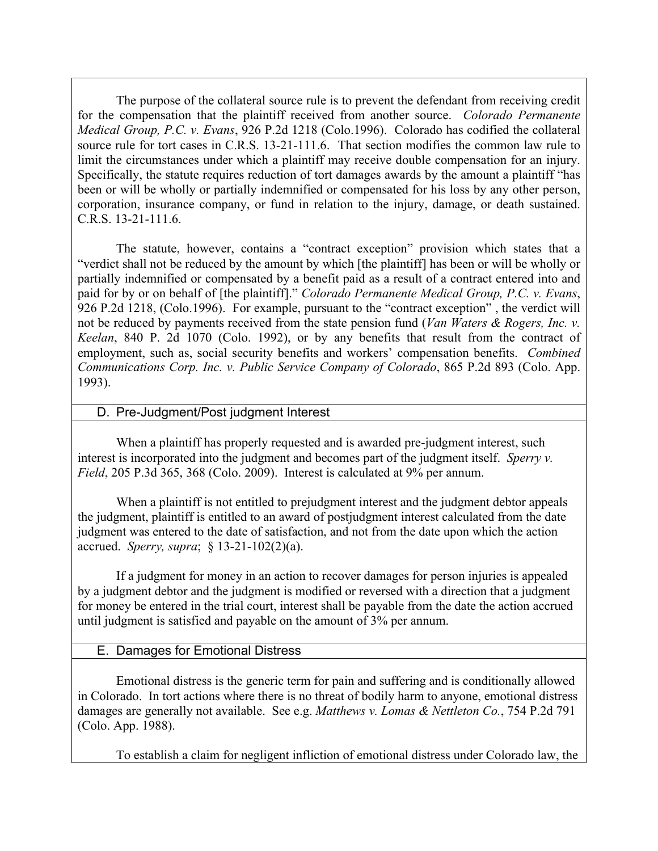The purpose of the collateral source rule is to prevent the defendant from receiving credit for the compensation that the plaintiff received from another source. *Colorado Permanente Medical Group, P.C. v. Evans*, 926 P.2d 1218 (Colo.1996). Colorado has codified the collateral source rule for tort cases in C.R.S. 13-21-111.6. That section modifies the common law rule to limit the circumstances under which a plaintiff may receive double compensation for an injury. Specifically, the statute requires reduction of tort damages awards by the amount a plaintiff "has been or will be wholly or partially indemnified or compensated for his loss by any other person, corporation, insurance company, or fund in relation to the injury, damage, or death sustained. C.R.S. 13-21-111.6.

The statute, however, contains a "contract exception" provision which states that a "verdict shall not be reduced by the amount by which [the plaintiff] has been or will be wholly or partially indemnified or compensated by a benefit paid as a result of a contract entered into and paid for by or on behalf of [the plaintiff]." *Colorado Permanente Medical Group, P.C. v. Evans*, 926 P.2d 1218, (Colo.1996). For example, pursuant to the "contract exception" , the verdict will not be reduced by payments received from the state pension fund (*Van Waters & Rogers, Inc. v. Keelan*, 840 P. 2d 1070 (Colo. 1992), or by any benefits that result from the contract of employment, such as, social security benefits and workers' compensation benefits. *Combined Communications Corp. Inc. v. Public Service Company of Colorado*, 865 P.2d 893 (Colo. App. 1993).

#### D. Pre-Judgment/Post judgment Interest

When a plaintiff has properly requested and is awarded pre-judgment interest, such interest is incorporated into the judgment and becomes part of the judgment itself. *Sperry v. Field*, 205 P.3d 365, 368 (Colo. 2009). Interest is calculated at 9% per annum.

When a plaintiff is not entitled to prejudgment interest and the judgment debtor appeals the judgment, plaintiff is entitled to an award of postjudgment interest calculated from the date judgment was entered to the date of satisfaction, and not from the date upon which the action accrued. *Sperry, supra*; § 13-21-102(2)(a).

If a judgment for money in an action to recover damages for person injuries is appealed by a judgment debtor and the judgment is modified or reversed with a direction that a judgment for money be entered in the trial court, interest shall be payable from the date the action accrued until judgment is satisfied and payable on the amount of 3% per annum.

### E. Damages for Emotional Distress

Emotional distress is the generic term for pain and suffering and is conditionally allowed in Colorado. In tort actions where there is no threat of bodily harm to anyone, emotional distress damages are generally not available. See e.g. *Matthews v. Lomas & Nettleton Co.*, 754 P.2d 791 (Colo. App. 1988).

To establish a claim for negligent infliction of emotional distress under Colorado law, the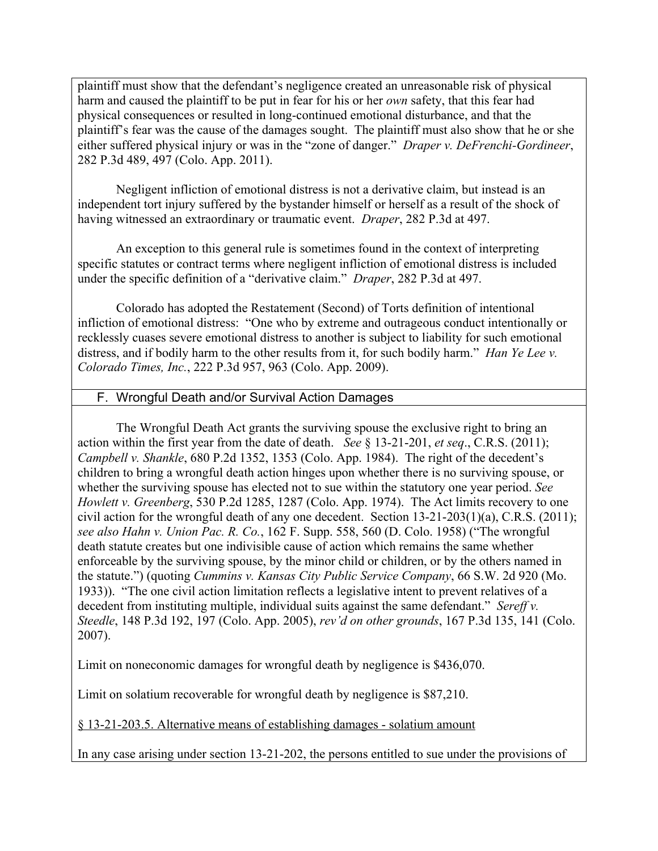plaintiff must show that the defendant's negligence created an unreasonable risk of physical harm and caused the plaintiff to be put in fear for his or her *own* safety, that this fear had physical consequences or resulted in long-continued emotional disturbance, and that the plaintiff's fear was the cause of the damages sought. The plaintiff must also show that he or she either suffered physical injury or was in the "zone of danger." *Draper v. DeFrenchi-Gordineer*, 282 P.3d 489, 497 (Colo. App. 2011).

Negligent infliction of emotional distress is not a derivative claim, but instead is an independent tort injury suffered by the bystander himself or herself as a result of the shock of having witnessed an extraordinary or traumatic event. *Draper*, 282 P.3d at 497.

An exception to this general rule is sometimes found in the context of interpreting specific statutes or contract terms where negligent infliction of emotional distress is included under the specific definition of a "derivative claim." *Draper*, 282 P.3d at 497.

Colorado has adopted the Restatement (Second) of Torts definition of intentional infliction of emotional distress: "One who by extreme and outrageous conduct intentionally or recklessly cuases severe emotional distress to another is subject to liability for such emotional distress, and if bodily harm to the other results from it, for such bodily harm." *Han Ye Lee v. Colorado Times, Inc.*, 222 P.3d 957, 963 (Colo. App. 2009).

### F. Wrongful Death and/or Survival Action Damages

The Wrongful Death Act grants the surviving spouse the exclusive right to bring an action within the first year from the date of death. *See* § 13-21-201, *et seq*., C.R.S. (2011); *Campbell v. Shankle*, 680 P.2d 1352, 1353 (Colo. App. 1984). The right of the decedent's children to bring a wrongful death action hinges upon whether there is no surviving spouse, or whether the surviving spouse has elected not to sue within the statutory one year period. *See Howlett v. Greenberg*, 530 P.2d 1285, 1287 (Colo. App. 1974). The Act limits recovery to one civil action for the wrongful death of any one decedent. Section 13-21-203(1)(a), C.R.S. (2011); *see also Hahn v. Union Pac. R. Co.*, 162 F. Supp. 558, 560 (D. Colo. 1958) ("The wrongful death statute creates but one indivisible cause of action which remains the same whether enforceable by the surviving spouse, by the minor child or children, or by the others named in the statute.") (quoting *Cummins v. Kansas City Public Service Company*, 66 S.W. 2d 920 (Mo. 1933)). "The one civil action limitation reflects a legislative intent to prevent relatives of a decedent from instituting multiple, individual suits against the same defendant." *Sereff v. Steedle*, 148 P.3d 192, 197 (Colo. App. 2005), *rev'd on other grounds*, 167 P.3d 135, 141 (Colo. 2007).

Limit on noneconomic damages for wrongful death by negligence is \$436,070.

Limit on solatium recoverable for wrongful death by negligence is \$87,210.

§ 13-21-203.5. Alternative means of establishing damages - solatium amount

In any case arising under section 13-21-202, the persons entitled to sue under the provisions of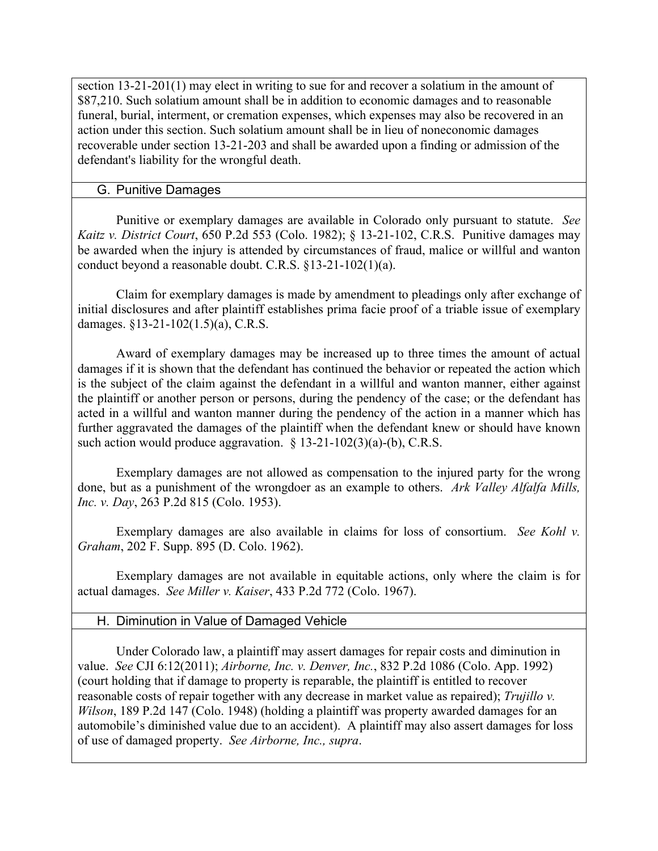section 13-21-201(1) may elect in writing to sue for and recover a solatium in the amount of \$87,210. Such solatium amount shall be in addition to economic damages and to reasonable funeral, burial, interment, or cremation expenses, which expenses may also be recovered in an action under this section. Such solatium amount shall be in lieu of noneconomic damages recoverable under section 13-21-203 and shall be awarded upon a finding or admission of the defendant's liability for the wrongful death.

### G. Punitive Damages

Punitive or exemplary damages are available in Colorado only pursuant to statute. *See Kaitz v. District Court*, 650 P.2d 553 (Colo. 1982); § 13-21-102, C.R.S. Punitive damages may be awarded when the injury is attended by circumstances of fraud, malice or willful and wanton conduct beyond a reasonable doubt. C.R.S. §13-21-102(1)(a).

Claim for exemplary damages is made by amendment to pleadings only after exchange of initial disclosures and after plaintiff establishes prima facie proof of a triable issue of exemplary damages. §13-21-102(1.5)(a), C.R.S.

Award of exemplary damages may be increased up to three times the amount of actual damages if it is shown that the defendant has continued the behavior or repeated the action which is the subject of the claim against the defendant in a willful and wanton manner, either against the plaintiff or another person or persons, during the pendency of the case; or the defendant has acted in a willful and wanton manner during the pendency of the action in a manner which has further aggravated the damages of the plaintiff when the defendant knew or should have known such action would produce aggravation. § 13-21-102(3)(a)-(b), C.R.S.

Exemplary damages are not allowed as compensation to the injured party for the wrong done, but as a punishment of the wrongdoer as an example to others. *Ark Valley Alfalfa Mills, Inc. v. Day*, 263 P.2d 815 (Colo. 1953).

Exemplary damages are also available in claims for loss of consortium. *See Kohl v. Graham*, 202 F. Supp. 895 (D. Colo. 1962).

Exemplary damages are not available in equitable actions, only where the claim is for actual damages. *See Miller v. Kaiser*, 433 P.2d 772 (Colo. 1967).

### H. Diminution in Value of Damaged Vehicle

Under Colorado law, a plaintiff may assert damages for repair costs and diminution in value. *See* CJI 6:12(2011); *Airborne, Inc. v. Denver, Inc.*, 832 P.2d 1086 (Colo. App. 1992) (court holding that if damage to property is reparable, the plaintiff is entitled to recover reasonable costs of repair together with any decrease in market value as repaired); *Trujillo v. Wilson*, 189 P.2d 147 (Colo. 1948) (holding a plaintiff was property awarded damages for an automobile's diminished value due to an accident). A plaintiff may also assert damages for loss of use of damaged property. *See Airborne, Inc., supra*.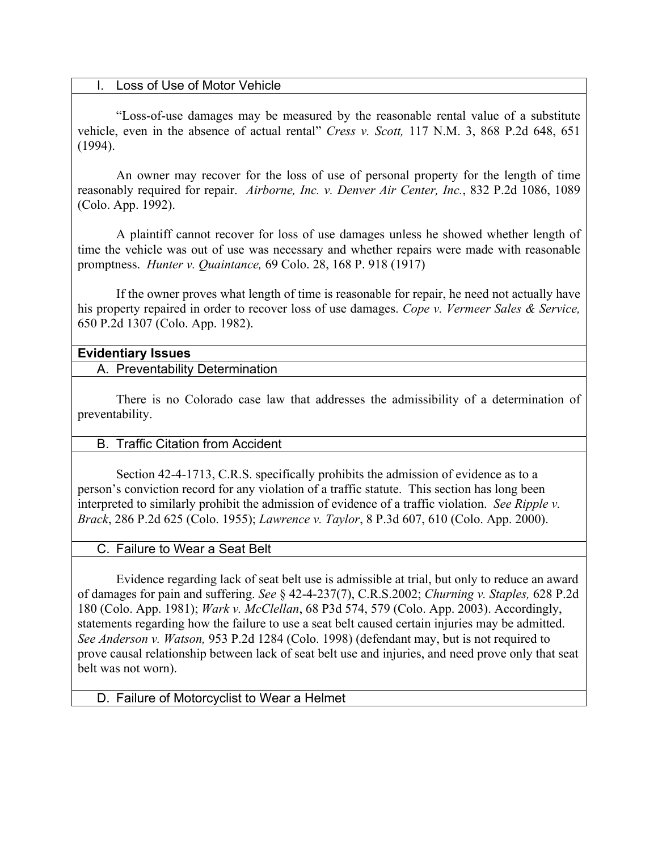#### I. Loss of Use of Motor Vehicle

"Loss-of-use damages may be measured by the reasonable rental value of a substitute vehicle, even in the absence of actual rental" *Cress v. Scott,* 117 N.M. 3, 868 P.2d 648, 651 (1994).

An owner may recover for the loss of use of personal property for the length of time reasonably required for repair. *Airborne, Inc. v. Denver Air Center, Inc.*, 832 P.2d 1086, 1089 (Colo. App. 1992).

A plaintiff cannot recover for loss of use damages unless he showed whether length of time the vehicle was out of use was necessary and whether repairs were made with reasonable promptness. *Hunter v. Quaintance,* 69 Colo. 28, 168 P. 918 (1917)

If the owner proves what length of time is reasonable for repair, he need not actually have his property repaired in order to recover loss of use damages. *Cope v. Vermeer Sales & Service,* 650 P.2d 1307 (Colo. App. 1982).

#### **Evidentiary Issues**

A. Preventability Determination

There is no Colorado case law that addresses the admissibility of a determination of preventability.

### B. Traffic Citation from Accident

Section 42-4-1713, C.R.S. specifically prohibits the admission of evidence as to a person's conviction record for any violation of a traffic statute. This section has long been interpreted to similarly prohibit the admission of evidence of a traffic violation. *See Ripple v. Brack*, 286 P.2d 625 (Colo. 1955); *Lawrence v. Taylor*, 8 P.3d 607, 610 (Colo. App. 2000).

#### C. Failure to Wear a Seat Belt

Evidence regarding lack of seat belt use is admissible at trial, but only to reduce an award of damages for pain and suffering. *See* § 42-4-237(7), C.R.S.2002; *Churning v. Staples,* 628 P.2d 180 (Colo. App. 1981); *Wark v. McClellan*, 68 P3d 574, 579 (Colo. App. 2003). Accordingly, statements regarding how the failure to use a seat belt caused certain injuries may be admitted. *See Anderson v. Watson,* 953 P.2d 1284 (Colo. 1998) (defendant may, but is not required to prove causal relationship between lack of seat belt use and injuries, and need prove only that seat belt was not worn).

#### D. Failure of Motorcyclist to Wear a Helmet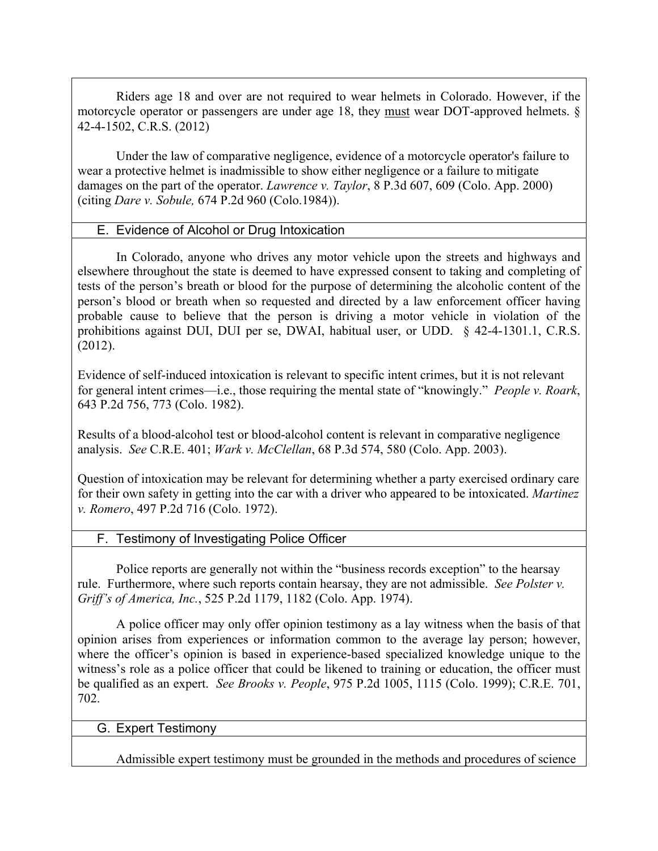Riders age 18 and over are not required to wear helmets in Colorado. However, if the motorcycle operator or passengers are under age 18, they must wear DOT-approved helmets. § 42-4-1502, C.R.S. (2012)

Under the law of comparative negligence, evidence of a motorcycle operator's failure to wear a protective helmet is inadmissible to show either negligence or a failure to mitigate damages on the part of the operator. *Lawrence v. Taylor*, 8 P.3d 607, 609 (Colo. App. 2000) (citing *Dare v. Sobule,* 674 P.2d 960 (Colo.1984)).

### E. Evidence of Alcohol or Drug Intoxication

In Colorado, anyone who drives any motor vehicle upon the streets and highways and elsewhere throughout the state is deemed to have expressed consent to taking and completing of tests of the person's breath or blood for the purpose of determining the alcoholic content of the person's blood or breath when so requested and directed by a law enforcement officer having probable cause to believe that the person is driving a motor vehicle in violation of the prohibitions against DUI, DUI per se, DWAI, habitual user, or UDD. § 42-4-1301.1, C.R.S. (2012).

Evidence of self-induced intoxication is relevant to specific intent crimes, but it is not relevant for general intent crimes—i.e., those requiring the mental state of "knowingly." *People v. Roark*, 643 P.2d 756, 773 (Colo. 1982).

Results of a blood-alcohol test or blood-alcohol content is relevant in comparative negligence analysis. *See* C.R.E. 401; *Wark v. McClellan*, 68 P.3d 574, 580 (Colo. App. 2003).

Question of intoxication may be relevant for determining whether a party exercised ordinary care for their own safety in getting into the car with a driver who appeared to be intoxicated. *Martinez v. Romero*, 497 P.2d 716 (Colo. 1972).

### F. Testimony of Investigating Police Officer

Police reports are generally not within the "business records exception" to the hearsay rule. Furthermore, where such reports contain hearsay, they are not admissible. *See Polster v. Griff's of America, Inc.*, 525 P.2d 1179, 1182 (Colo. App. 1974).

A police officer may only offer opinion testimony as a lay witness when the basis of that opinion arises from experiences or information common to the average lay person; however, where the officer's opinion is based in experience-based specialized knowledge unique to the witness's role as a police officer that could be likened to training or education, the officer must be qualified as an expert. *See Brooks v. People*, 975 P.2d 1005, 1115 (Colo. 1999); C.R.E. 701, 702.

### G. Expert Testimony

Admissible expert testimony must be grounded in the methods and procedures of science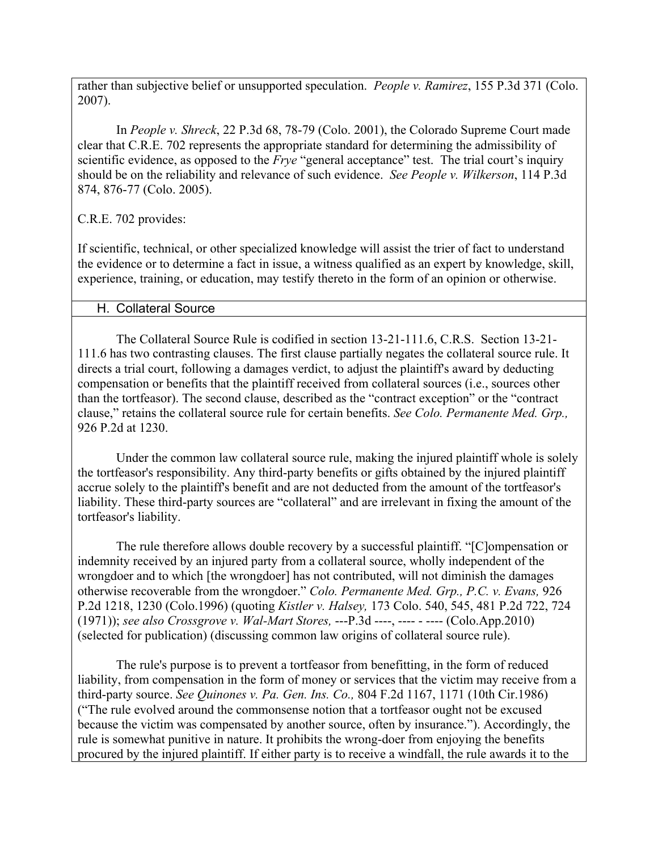rather than subjective belief or unsupported speculation. *People v. Ramirez*, 155 P.3d 371 (Colo. 2007).

In *People v. Shreck*, 22 P.3d 68, 78-79 (Colo. 2001), the Colorado Supreme Court made clear that C.R.E. 702 represents the appropriate standard for determining the admissibility of scientific evidence, as opposed to the *Frye* "general acceptance" test. The trial court's inquiry should be on the reliability and relevance of such evidence. *See People v. Wilkerson*, 114 P.3d 874, 876-77 (Colo. 2005).

C.R.E. 702 provides:

If scientific, technical, or other specialized knowledge will assist the trier of fact to understand the evidence or to determine a fact in issue, a witness qualified as an expert by knowledge, skill, experience, training, or education, may testify thereto in the form of an opinion or otherwise.

### H. Collateral Source

The Collateral Source Rule is codified in section 13-21-111.6, C.R.S. Section 13-21- 111.6 has two contrasting clauses. The first clause partially negates the collateral source rule. It directs a trial court, following a damages verdict, to adjust the plaintiff's award by deducting compensation or benefits that the plaintiff received from collateral sources (i.e., sources other than the tortfeasor). The second clause, described as the "contract exception" or the "contract clause," retains the collateral source rule for certain benefits. *See Colo. Permanente Med. Grp.,* 926 P.2d at 1230.

Under the common law collateral source rule, making the injured plaintiff whole is solely the tortfeasor's responsibility. Any third-party benefits or gifts obtained by the injured plaintiff accrue solely to the plaintiff's benefit and are not deducted from the amount of the tortfeasor's liability. These third-party sources are "collateral" and are irrelevant in fixing the amount of the tortfeasor's liability.

The rule therefore allows double recovery by a successful plaintiff. "[C]ompensation or indemnity received by an injured party from a collateral source, wholly independent of the wrongdoer and to which [the wrongdoer] has not contributed, will not diminish the damages otherwise recoverable from the wrongdoer." *Colo. Permanente Med. Grp., P.C. v. Evans,* 926 P.2d 1218, 1230 (Colo.1996) (quoting *Kistler v. Halsey,* 173 Colo. 540, 545, 481 P.2d 722, 724 (1971)); *see also Crossgrove v. Wal-Mart Stores,* ---P.3d ----, ---- - ---- (Colo.App.2010) (selected for publication) (discussing common law origins of collateral source rule).

The rule's purpose is to prevent a tortfeasor from benefitting, in the form of reduced liability, from compensation in the form of money or services that the victim may receive from a third-party source. *See Quinones v. Pa. Gen. Ins. Co.,* 804 F.2d 1167, 1171 (10th Cir.1986) ("The rule evolved around the commonsense notion that a tortfeasor ought not be excused because the victim was compensated by another source, often by insurance."). Accordingly, the rule is somewhat punitive in nature. It prohibits the wrong-doer from enjoying the benefits procured by the injured plaintiff. If either party is to receive a windfall, the rule awards it to the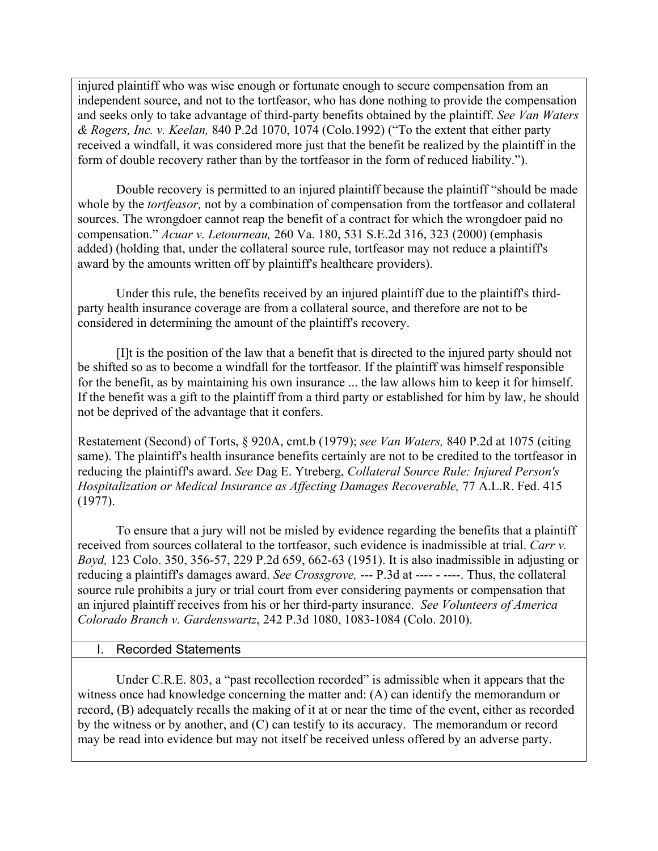injured plaintiff who was wise enough or fortunate enough to secure compensation from an independent source, and not to the tortfeasor, who has done nothing to provide the compensation and seeks only to take advantage of third-party benefits obtained by the plaintiff. *See Van Waters & Rogers, Inc. v. Keelan,* 840 P.2d 1070, 1074 (Colo.1992) ("To the extent that either party received a windfall, it was considered more just that the benefit be realized by the plaintiff in the form of double recovery rather than by the tortfeasor in the form of reduced liability.").

Double recovery is permitted to an injured plaintiff because the plaintiff "should be made whole by the *tortfeasor,* not by a combination of compensation from the tortfeasor and collateral sources. The wrongdoer cannot reap the benefit of a contract for which the wrongdoer paid no compensation." *Acuar v. Letourneau,* 260 Va. 180, 531 S.E.2d 316, 323 (2000) (emphasis added) (holding that, under the collateral source rule, tortfeasor may not reduce a plaintiff's award by the amounts written off by plaintiff's healthcare providers).

Under this rule, the benefits received by an injured plaintiff due to the plaintiff's thirdparty health insurance coverage are from a collateral source, and therefore are not to be considered in determining the amount of the plaintiff's recovery.

[I]t is the position of the law that a benefit that is directed to the injured party should not be shifted so as to become a windfall for the tortfeasor. If the plaintiff was himself responsible for the benefit, as by maintaining his own insurance ... the law allows him to keep it for himself. If the benefit was a gift to the plaintiff from a third party or established for him by law, he should not be deprived of the advantage that it confers.

Restatement (Second) of Torts, § 920A, cmt.b (1979); *see Van Waters,* 840 P.2d at 1075 (citing same). The plaintiff's health insurance benefits certainly are not to be credited to the tortfeasor in reducing the plaintiff's award. *See* Dag E. Ytreberg, *Collateral Source Rule: Injured Person's Hospitalization or Medical Insurance as Affecting Damages Recoverable,* 77 A.L.R. Fed. 415 (1977).

To ensure that a jury will not be misled by evidence regarding the benefits that a plaintiff received from sources collateral to the tortfeasor, such evidence is inadmissible at trial. *Carr v. Boyd,* 123 Colo. 350, 356-57, 229 P.2d 659, 662-63 (1951). It is also inadmissible in adjusting or reducing a plaintiff's damages award. *See Crossgrove,* --- P.3d at ---- - ----. Thus, the collateral source rule prohibits a jury or trial court from ever considering payments or compensation that an injured plaintiff receives from his or her third-party insurance. *See Volunteers of America Colorado Branch v. Gardenswartz*, 242 P.3d 1080, 1083-1084 (Colo. 2010).

### I. Recorded Statements

Under C.R.E. 803, a "past recollection recorded" is admissible when it appears that the witness once had knowledge concerning the matter and: (A) can identify the memorandum or record, (B) adequately recalls the making of it at or near the time of the event, either as recorded by the witness or by another, and (C) can testify to its accuracy. The memorandum or record may be read into evidence but may not itself be received unless offered by an adverse party.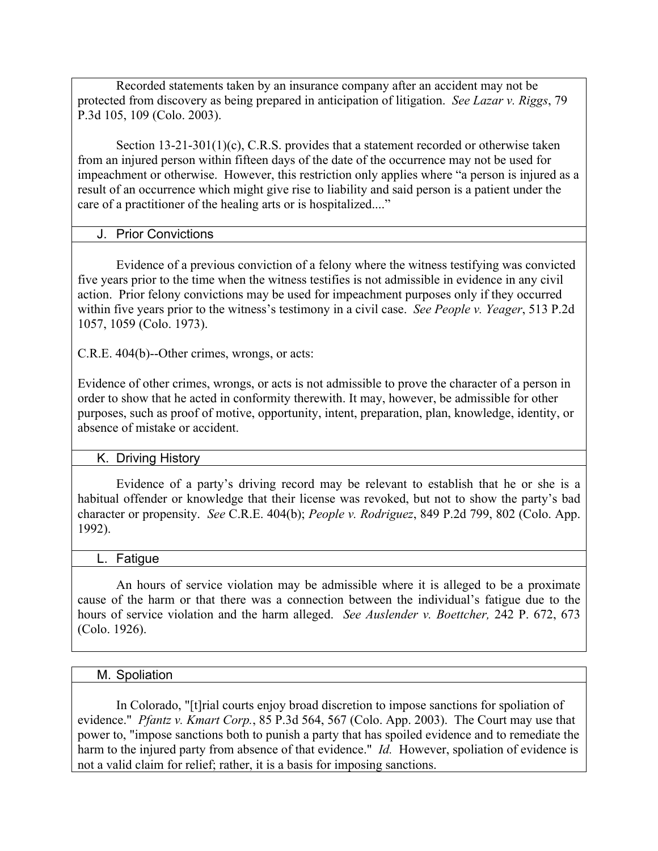Recorded statements taken by an insurance company after an accident may not be protected from discovery as being prepared in anticipation of litigation. *See Lazar v. Riggs*, 79 P.3d 105, 109 (Colo. 2003).

Section 13-21-301(1)(c), C.R.S. provides that a statement recorded or otherwise taken from an injured person within fifteen days of the date of the occurrence may not be used for impeachment or otherwise. However, this restriction only applies where "a person is injured as a result of an occurrence which might give rise to liability and said person is a patient under the care of a practitioner of the healing arts or is hospitalized...."

### J. Prior Convictions

Evidence of a previous conviction of a felony where the witness testifying was convicted five years prior to the time when the witness testifies is not admissible in evidence in any civil action. Prior felony convictions may be used for impeachment purposes only if they occurred within five years prior to the witness's testimony in a civil case. *See People v. Yeager*, 513 P.2d 1057, 1059 (Colo. 1973).

C.R.E. 404(b)--Other crimes, wrongs, or acts:

Evidence of other crimes, wrongs, or acts is not admissible to prove the character of a person in order to show that he acted in conformity therewith. It may, however, be admissible for other purposes, such as proof of motive, opportunity, intent, preparation, plan, knowledge, identity, or absence of mistake or accident.

### K. Driving History

Evidence of a party's driving record may be relevant to establish that he or she is a habitual offender or knowledge that their license was revoked, but not to show the party's bad character or propensity. *See* C.R.E. 404(b); *People v. Rodriguez*, 849 P.2d 799, 802 (Colo. App. 1992).

#### **Fatigue**

An hours of service violation may be admissible where it is alleged to be a proximate cause of the harm or that there was a connection between the individual's fatigue due to the hours of service violation and the harm alleged. *See Auslender v. Boettcher,* 242 P. 672, 673 (Colo. 1926).

#### M. Spoliation

In Colorado, "[t]rial courts enjoy broad discretion to impose sanctions for spoliation of evidence." *Pfantz v. Kmart Corp.*, 85 P.3d 564, 567 (Colo. App. 2003). The Court may use that power to, "impose sanctions both to punish a party that has spoiled evidence and to remediate the harm to the injured party from absence of that evidence." *Id.* However, spoliation of evidence is not a valid claim for relief; rather, it is a basis for imposing sanctions.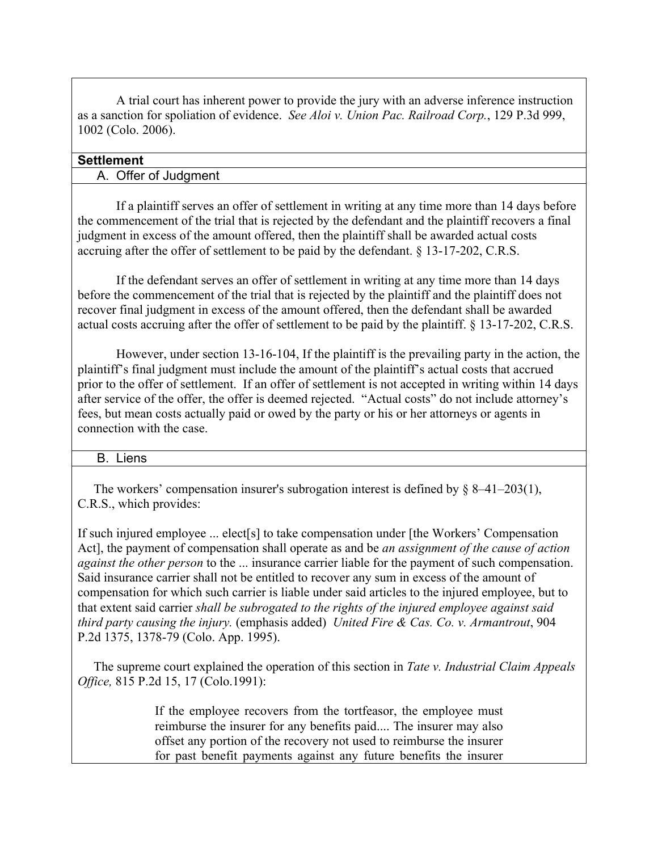A trial court has inherent power to provide the jury with an adverse inference instruction as a sanction for spoliation of evidence. *See Aloi v. Union Pac. Railroad Corp.*, 129 P.3d 999, 1002 (Colo. 2006).

### **Settlement**

### A. Offer of Judgment

If a plaintiff serves an offer of settlement in writing at any time more than 14 days before the commencement of the trial that is rejected by the defendant and the plaintiff recovers a final judgment in excess of the amount offered, then the plaintiff shall be awarded actual costs accruing after the offer of settlement to be paid by the defendant. § 13-17-202, C.R.S.

If the defendant serves an offer of settlement in writing at any time more than 14 days before the commencement of the trial that is rejected by the plaintiff and the plaintiff does not recover final judgment in excess of the amount offered, then the defendant shall be awarded actual costs accruing after the offer of settlement to be paid by the plaintiff. § 13-17-202, C.R.S.

However, under section 13-16-104, If the plaintiff is the prevailing party in the action, the plaintiff's final judgment must include the amount of the plaintiff's actual costs that accrued prior to the offer of settlement. If an offer of settlement is not accepted in writing within 14 days after service of the offer, the offer is deemed rejected. "Actual costs" do not include attorney's fees, but mean costs actually paid or owed by the party or his or her attorneys or agents in connection with the case.

#### B. Liens

The workers' compensation insurer's subrogation interest is defined by § 8–41–203(1), C.R.S., which provides:

If such injured employee ... elect[s] to take compensation under [the Workers' Compensation Act], the payment of compensation shall operate as and be *an assignment of the cause of action against the other person* to the ... insurance carrier liable for the payment of such compensation. Said insurance carrier shall not be entitled to recover any sum in excess of the amount of compensation for which such carrier is liable under said articles to the injured employee, but to that extent said carrier *shall be subrogated to the rights of the injured employee against said third party causing the injury.* (emphasis added) *United Fire & Cas. Co. v. Armantrout*, 904 P.2d 1375, 1378-79 (Colo. App. 1995).

The supreme court explained the operation of this section in *Tate v. Industrial Claim Appeals Office,* 815 P.2d 15, 17 (Colo.1991):

> If the employee recovers from the tortfeasor, the employee must reimburse the insurer for any benefits paid.... The insurer may also offset any portion of the recovery not used to reimburse the insurer for past benefit payments against any future benefits the insurer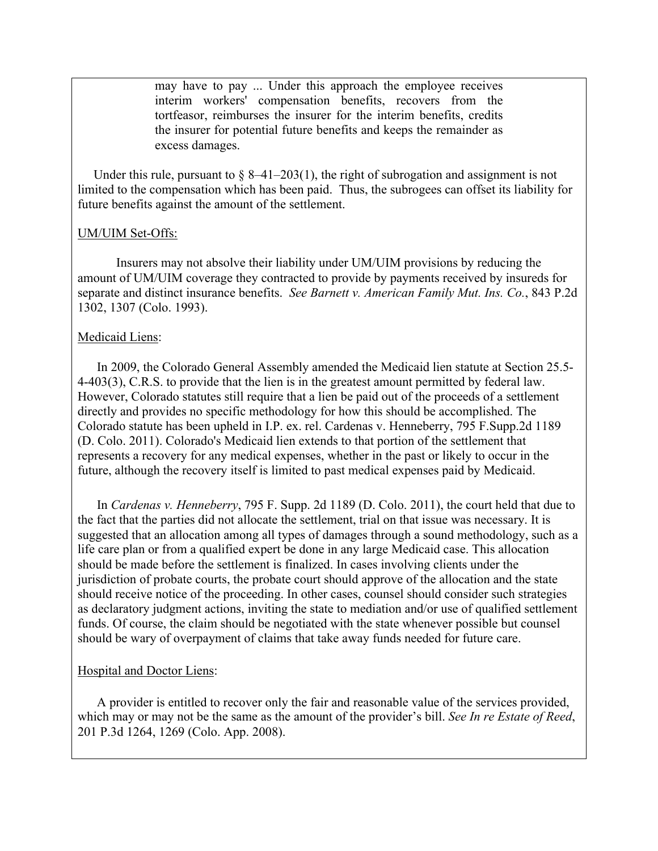may have to pay ... Under this approach the employee receives interim workers' compensation benefits, recovers from the tortfeasor, reimburses the insurer for the interim benefits, credits the insurer for potential future benefits and keeps the remainder as excess damages.

Under this rule, pursuant to  $\S 8-41-203(1)$ , the right of subrogation and assignment is not limited to the compensation which has been paid. Thus, the subrogees can offset its liability for future benefits against the amount of the settlement.

#### UM/UIM Set-Offs:

Insurers may not absolve their liability under UM/UIM provisions by reducing the amount of UM/UIM coverage they contracted to provide by payments received by insureds for separate and distinct insurance benefits. *See Barnett v. American Family Mut. Ins. Co.*, 843 P.2d 1302, 1307 (Colo. 1993).

#### Medicaid Liens:

In 2009, the Colorado General Assembly amended the Medicaid lien statute at Section 25.5- 4-403(3), C.R.S. to provide that the lien is in the greatest amount permitted by federal law. However, Colorado statutes still require that a lien be paid out of the proceeds of a settlement directly and provides no specific methodology for how this should be accomplished. The Colorado statute has been upheld in I.P. ex. rel. Cardenas v. Henneberry, 795 F.Supp.2d 1189 (D. Colo. 2011). Colorado's Medicaid lien extends to that portion of the settlement that represents a recovery for any medical expenses, whether in the past or likely to occur in the future, although the recovery itself is limited to past medical expenses paid by Medicaid.

In *Cardenas v. Henneberry*, 795 F. Supp. 2d 1189 (D. Colo. 2011), the court held that due to the fact that the parties did not allocate the settlement, trial on that issue was necessary. It is suggested that an allocation among all types of damages through a sound methodology, such as a life care plan or from a qualified expert be done in any large Medicaid case. This allocation should be made before the settlement is finalized. In cases involving clients under the jurisdiction of probate courts, the probate court should approve of the allocation and the state should receive notice of the proceeding. In other cases, counsel should consider such strategies as declaratory judgment actions, inviting the state to mediation and/or use of qualified settlement funds. Of course, the claim should be negotiated with the state whenever possible but counsel should be wary of overpayment of claims that take away funds needed for future care.

#### Hospital and Doctor Liens:

A provider is entitled to recover only the fair and reasonable value of the services provided, which may or may not be the same as the amount of the provider's bill. *See In re Estate of Reed*, 201 P.3d 1264, 1269 (Colo. App. 2008).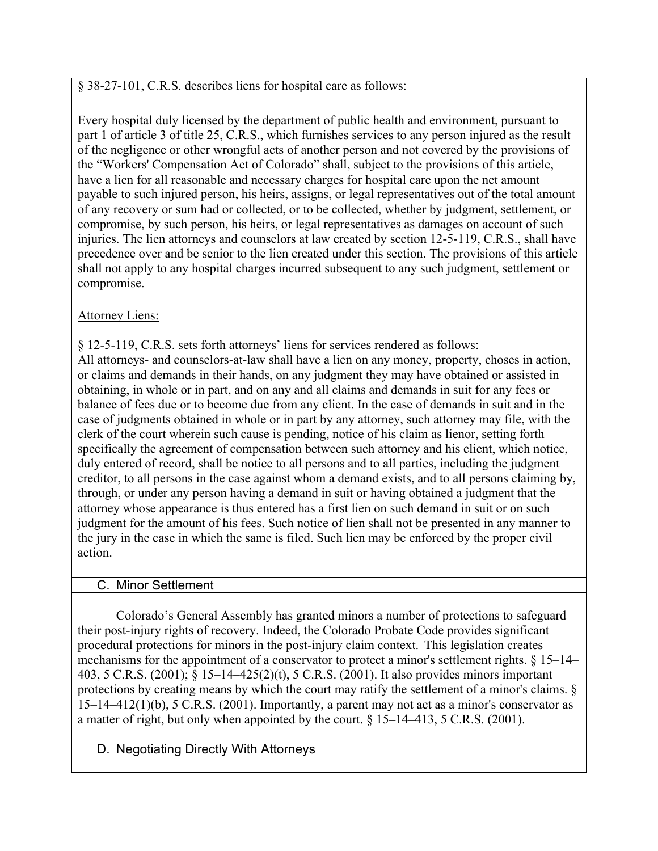§ 38-27-101, C.R.S. describes liens for hospital care as follows:

Every hospital duly licensed by the department of public health and environment, pursuant to part 1 of article 3 of title 25, C.R.S., which furnishes services to any person injured as the result of the negligence or other wrongful acts of another person and not covered by the provisions of the "Workers' Compensation Act of Colorado" shall, subject to the provisions of this article, have a lien for all reasonable and necessary charges for hospital care upon the net amount payable to such injured person, his heirs, assigns, or legal representatives out of the total amount of any recovery or sum had or collected, or to be collected, whether by judgment, settlement, or compromise, by such person, his heirs, or legal representatives as damages on account of such injuries. The lien attorneys and counselors at law created by section 12-5-119, C.R.S., shall have precedence over and be senior to the lien created under this section. The provisions of this article shall not apply to any hospital charges incurred subsequent to any such judgment, settlement or compromise.

## **Attorney Liens:**

§ 12-5-119, C.R.S. sets forth attorneys' liens for services rendered as follows: All attorneys- and counselors-at-law shall have a lien on any money, property, choses in action, or claims and demands in their hands, on any judgment they may have obtained or assisted in obtaining, in whole or in part, and on any and all claims and demands in suit for any fees or balance of fees due or to become due from any client. In the case of demands in suit and in the case of judgments obtained in whole or in part by any attorney, such attorney may file, with the clerk of the court wherein such cause is pending, notice of his claim as lienor, setting forth specifically the agreement of compensation between such attorney and his client, which notice, duly entered of record, shall be notice to all persons and to all parties, including the judgment creditor, to all persons in the case against whom a demand exists, and to all persons claiming by, through, or under any person having a demand in suit or having obtained a judgment that the attorney whose appearance is thus entered has a first lien on such demand in suit or on such judgment for the amount of his fees. Such notice of lien shall not be presented in any manner to the jury in the case in which the same is filed. Such lien may be enforced by the proper civil action.

## C. Minor Settlement

Colorado's General Assembly has granted minors a number of protections to safeguard their post-injury rights of recovery. Indeed, the Colorado Probate Code provides significant procedural protections for minors in the post-injury claim context. This legislation creates mechanisms for the appointment of a conservator to protect a minor's settlement rights. § 15–14– 403, 5 C.R.S. (2001); § 15–14–425(2)(t), 5 C.R.S. (2001). It also provides minors important protections by creating means by which the court may ratify the settlement of a minor's claims. §  $15-14-412(1)(b)$ , 5 C.R.S. (2001). Importantly, a parent may not act as a minor's conservator as a matter of right, but only when appointed by the court. § 15–14–413, 5 C.R.S. (2001).

## D. Negotiating Directly With Attorneys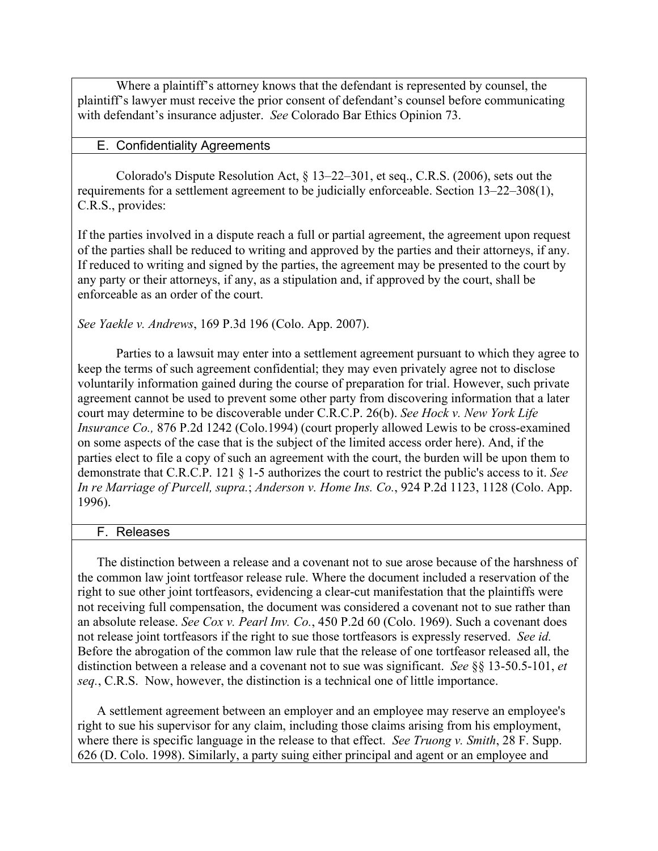Where a plaintiff's attorney knows that the defendant is represented by counsel, the plaintiff's lawyer must receive the prior consent of defendant's counsel before communicating with defendant's insurance adjuster. *See* Colorado Bar Ethics Opinion 73.

#### E. Confidentiality Agreements

Colorado's Dispute Resolution Act, § 13–22–301, et seq., C.R.S. (2006), sets out the requirements for a settlement agreement to be judicially enforceable. Section 13–22–308(1), C.R.S., provides:

If the parties involved in a dispute reach a full or partial agreement, the agreement upon request of the parties shall be reduced to writing and approved by the parties and their attorneys, if any. If reduced to writing and signed by the parties, the agreement may be presented to the court by any party or their attorneys, if any, as a stipulation and, if approved by the court, shall be enforceable as an order of the court.

*See Yaekle v. Andrews*, 169 P.3d 196 (Colo. App. 2007).

Parties to a lawsuit may enter into a settlement agreement pursuant to which they agree to keep the terms of such agreement confidential; they may even privately agree not to disclose voluntarily information gained during the course of preparation for trial. However, such private agreement cannot be used to prevent some other party from discovering information that a later court may determine to be discoverable under C.R.C.P. 26(b). *See Hock v. New York Life Insurance Co.,* 876 P.2d 1242 (Colo.1994) (court properly allowed Lewis to be cross-examined on some aspects of the case that is the subject of the limited access order here). And, if the parties elect to file a copy of such an agreement with the court, the burden will be upon them to demonstrate that C.R.C.P. 121 § 1-5 authorizes the court to restrict the public's access to it. *See In re Marriage of Purcell, supra.*; *Anderson v. Home Ins. Co.*, 924 P.2d 1123, 1128 (Colo. App. 1996).

#### F. Releases

The distinction between a release and a covenant not to sue arose because of the harshness of the common law joint tortfeasor release rule. Where the document included a reservation of the right to sue other joint tortfeasors, evidencing a clear-cut manifestation that the plaintiffs were not receiving full compensation, the document was considered a covenant not to sue rather than an absolute release. *See Cox v. Pearl Inv. Co.*, 450 P.2d 60 (Colo. 1969). Such a covenant does not release joint tortfeasors if the right to sue those tortfeasors is expressly reserved. *See id.*  Before the abrogation of the common law rule that the release of one tortfeasor released all, the distinction between a release and a covenant not to sue was significant. *See* §§ 13-50.5-101, *et seq.*, C.R.S. Now, however, the distinction is a technical one of little importance.

A settlement agreement between an employer and an employee may reserve an employee's right to sue his supervisor for any claim, including those claims arising from his employment, where there is specific language in the release to that effect. *See Truong v. Smith*, 28 F. Supp. 626 (D. Colo. 1998). Similarly, a party suing either principal and agent or an employee and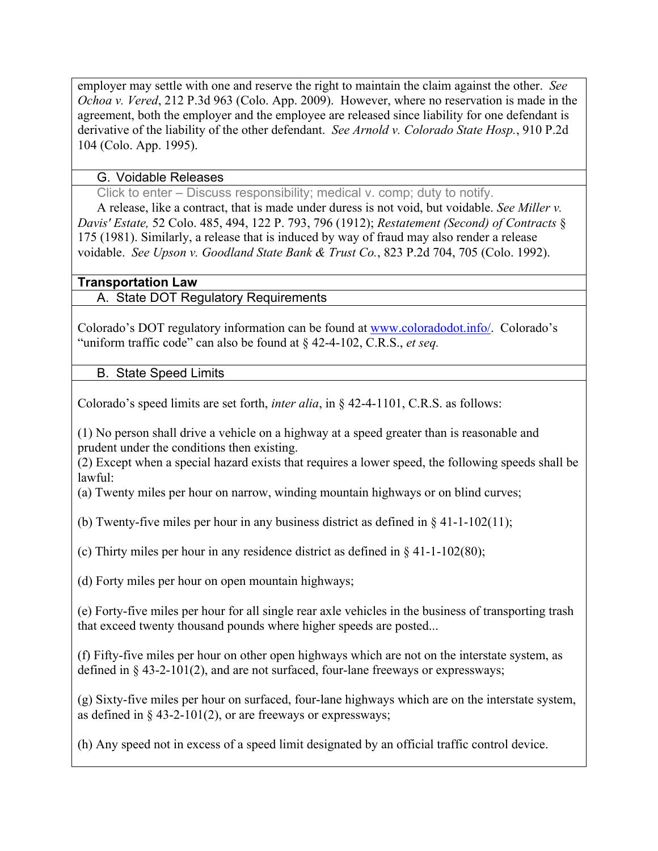employer may settle with one and reserve the right to maintain the claim against the other. *See Ochoa v. Vered*, 212 P.3d 963 (Colo. App. 2009). However, where no reservation is made in the agreement, both the employer and the employee are released since liability for one defendant is derivative of the liability of the other defendant. *See Arnold v. Colorado State Hosp.*, 910 P.2d 104 (Colo. App. 1995).

### G. Voidable Releases

Click to enter – Discuss responsibility; medical v. comp; duty to notify.

 A release, like a contract, that is made under duress is not void, but voidable. *See Miller v. Davis' Estate,* 52 Colo. 485, 494, 122 P. 793, 796 (1912); *Restatement (Second) of Contracts* § 175 (1981). Similarly, a release that is induced by way of fraud may also render a release voidable. *See Upson v. Goodland State Bank & Trust Co.*, 823 P.2d 704, 705 (Colo. 1992).

## **Transportation Law**

A. State DOT Regulatory Requirements

Colorado's DOT regulatory information can be found at www.coloradodot.info/. Colorado's "uniform traffic code" can also be found at § 42-4-102, C.R.S., *et seq.*

B. State Speed Limits

Colorado's speed limits are set forth, *inter alia*, in § 42-4-1101, C.R.S. as follows:

(1) No person shall drive a vehicle on a highway at a speed greater than is reasonable and prudent under the conditions then existing.

(2) Except when a special hazard exists that requires a lower speed, the following speeds shall be lawful:

(a) Twenty miles per hour on narrow, winding mountain highways or on blind curves;

(b) Twenty-five miles per hour in any business district as defined in  $\S 41-1-102(11)$ ;

(c) Thirty miles per hour in any residence district as defined in § 41-1-102(80);

(d) Forty miles per hour on open mountain highways;

(e) Forty-five miles per hour for all single rear axle vehicles in the business of transporting trash that exceed twenty thousand pounds where higher speeds are posted...

(f) Fifty-five miles per hour on other open highways which are not on the interstate system, as defined in § 43-2-101(2), and are not surfaced, four-lane freeways or expressways;

(g) Sixty-five miles per hour on surfaced, four-lane highways which are on the interstate system, as defined in  $\S$  43-2-101(2), or are freeways or expressways;

(h) Any speed not in excess of a speed limit designated by an official traffic control device.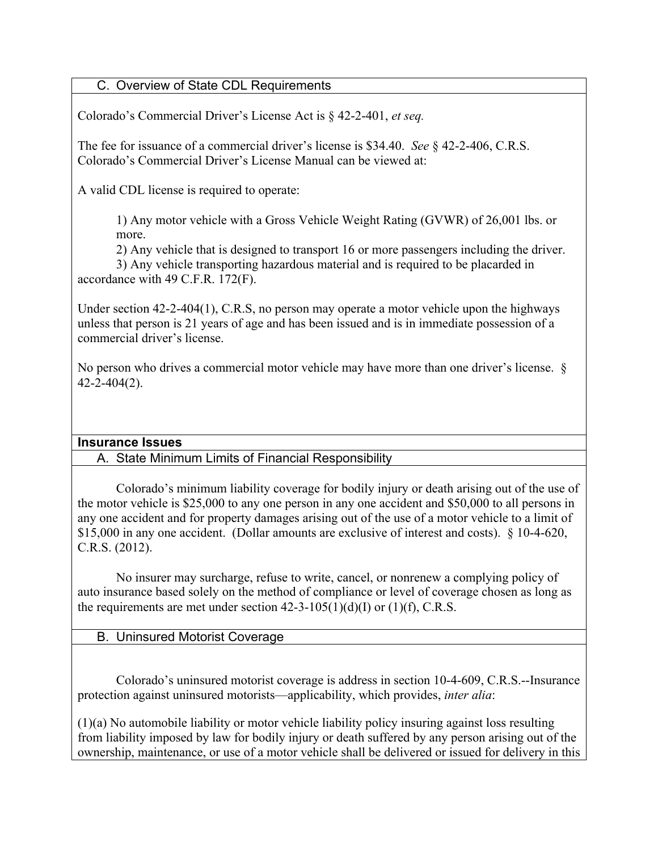## C. Overview of State CDL Requirements

Colorado's Commercial Driver's License Act is § 42-2-401, *et seq.*

The fee for issuance of a commercial driver's license is \$34.40. *See* § 42-2-406, C.R.S. Colorado's Commercial Driver's License Manual can be viewed at:

A valid CDL license is required to operate:

1) Any motor vehicle with a Gross Vehicle Weight Rating (GVWR) of 26,001 lbs. or more.

2) Any vehicle that is designed to transport 16 or more passengers including the driver.

3) Any vehicle transporting hazardous material and is required to be placarded in accordance with 49 C.F.R. 172(F).

Under section 42-2-404(1), C.R.S, no person may operate a motor vehicle upon the highways unless that person is 21 years of age and has been issued and is in immediate possession of a commercial driver's license.

No person who drives a commercial motor vehicle may have more than one driver's license. § 42-2-404(2).

### **Insurance Issues**

A. State Minimum Limits of Financial Responsibility

Colorado's minimum liability coverage for bodily injury or death arising out of the use of the motor vehicle is \$25,000 to any one person in any one accident and \$50,000 to all persons in any one accident and for property damages arising out of the use of a motor vehicle to a limit of \$15,000 in any one accident. (Dollar amounts are exclusive of interest and costs). § 10-4-620, C.R.S. (2012).

No insurer may surcharge, refuse to write, cancel, or nonrenew a complying policy of auto insurance based solely on the method of compliance or level of coverage chosen as long as the requirements are met under section  $42-3-105(1)(d)(I)$  or  $(1)(f)$ , C.R.S.

B. Uninsured Motorist Coverage

Colorado's uninsured motorist coverage is address in section 10-4-609, C.R.S.--Insurance protection against uninsured motorists—applicability, which provides, *inter alia*:

(1)(a) No automobile liability or motor vehicle liability policy insuring against loss resulting from liability imposed by law for bodily injury or death suffered by any person arising out of the ownership, maintenance, or use of a motor vehicle shall be delivered or issued for delivery in this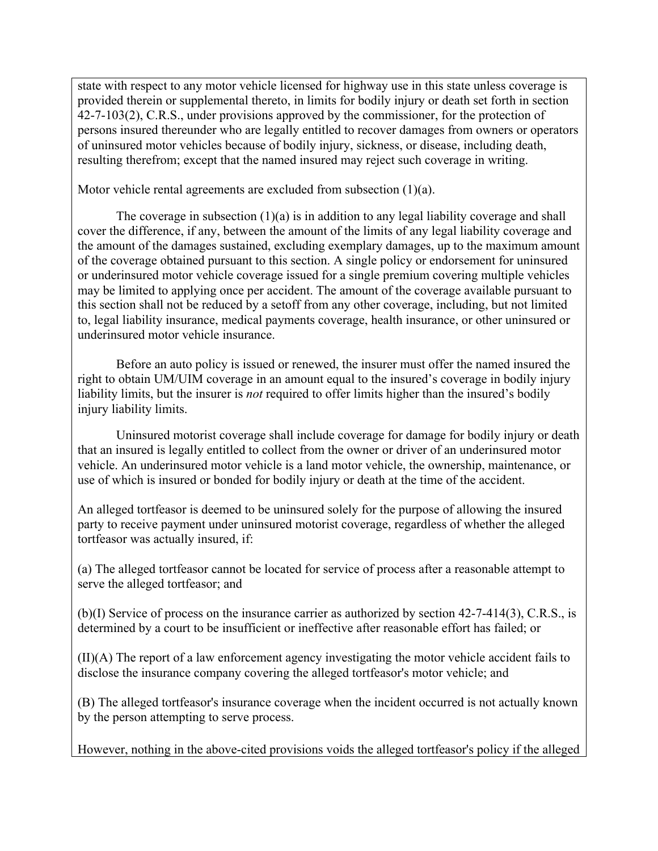state with respect to any motor vehicle licensed for highway use in this state unless coverage is provided therein or supplemental thereto, in limits for bodily injury or death set forth in section 42-7-103(2), C.R.S., under provisions approved by the commissioner, for the protection of persons insured thereunder who are legally entitled to recover damages from owners or operators of uninsured motor vehicles because of bodily injury, sickness, or disease, including death, resulting therefrom; except that the named insured may reject such coverage in writing.

Motor vehicle rental agreements are excluded from subsection (1)(a).

The coverage in subsection  $(1)(a)$  is in addition to any legal liability coverage and shall cover the difference, if any, between the amount of the limits of any legal liability coverage and the amount of the damages sustained, excluding exemplary damages, up to the maximum amount of the coverage obtained pursuant to this section. A single policy or endorsement for uninsured or underinsured motor vehicle coverage issued for a single premium covering multiple vehicles may be limited to applying once per accident. The amount of the coverage available pursuant to this section shall not be reduced by a setoff from any other coverage, including, but not limited to, legal liability insurance, medical payments coverage, health insurance, or other uninsured or underinsured motor vehicle insurance.

Before an auto policy is issued or renewed, the insurer must offer the named insured the right to obtain UM/UIM coverage in an amount equal to the insured's coverage in bodily injury liability limits, but the insurer is *not* required to offer limits higher than the insured's bodily injury liability limits.

Uninsured motorist coverage shall include coverage for damage for bodily injury or death that an insured is legally entitled to collect from the owner or driver of an underinsured motor vehicle. An underinsured motor vehicle is a land motor vehicle, the ownership, maintenance, or use of which is insured or bonded for bodily injury or death at the time of the accident.

An alleged tortfeasor is deemed to be uninsured solely for the purpose of allowing the insured party to receive payment under uninsured motorist coverage, regardless of whether the alleged tortfeasor was actually insured, if:

(a) The alleged tortfeasor cannot be located for service of process after a reasonable attempt to serve the alleged tortfeasor; and

(b)(I) Service of process on the insurance carrier as authorized by section 42-7-414(3), C.R.S., is determined by a court to be insufficient or ineffective after reasonable effort has failed; or

(II)(A) The report of a law enforcement agency investigating the motor vehicle accident fails to disclose the insurance company covering the alleged tortfeasor's motor vehicle; and

(B) The alleged tortfeasor's insurance coverage when the incident occurred is not actually known by the person attempting to serve process.

However, nothing in the above-cited provisions voids the alleged tortfeasor's policy if the alleged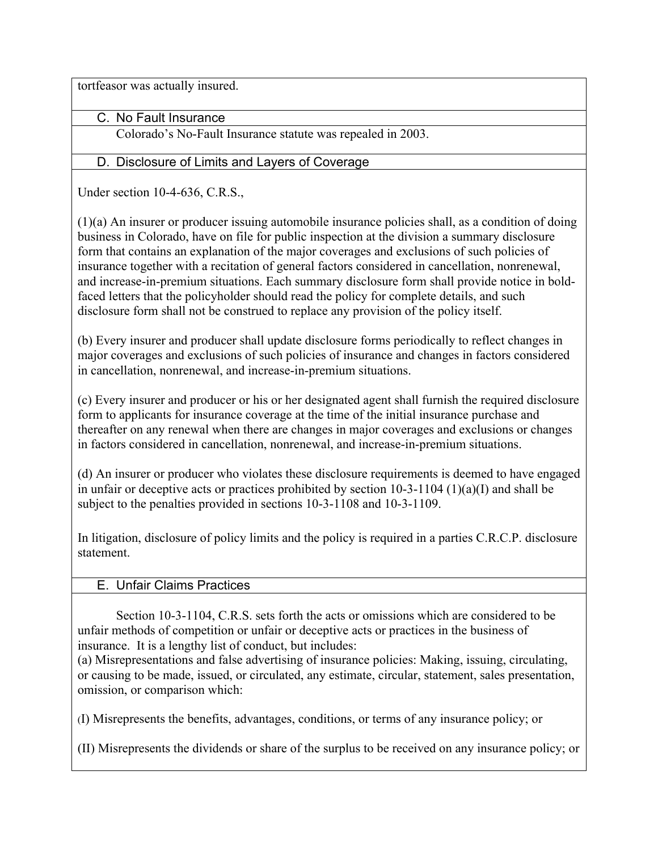tortfeasor was actually insured.

C. No Fault Insurance

Colorado's No-Fault Insurance statute was repealed in 2003.

## D. Disclosure of Limits and Layers of Coverage

Under section 10-4-636, C.R.S.,

(1)(a) An insurer or producer issuing automobile insurance policies shall, as a condition of doing business in Colorado, have on file for public inspection at the division a summary disclosure form that contains an explanation of the major coverages and exclusions of such policies of insurance together with a recitation of general factors considered in cancellation, nonrenewal, and increase-in-premium situations. Each summary disclosure form shall provide notice in boldfaced letters that the policyholder should read the policy for complete details, and such disclosure form shall not be construed to replace any provision of the policy itself.

(b) Every insurer and producer shall update disclosure forms periodically to reflect changes in major coverages and exclusions of such policies of insurance and changes in factors considered in cancellation, nonrenewal, and increase-in-premium situations.

(c) Every insurer and producer or his or her designated agent shall furnish the required disclosure form to applicants for insurance coverage at the time of the initial insurance purchase and thereafter on any renewal when there are changes in major coverages and exclusions or changes in factors considered in cancellation, nonrenewal, and increase-in-premium situations.

(d) An insurer or producer who violates these disclosure requirements is deemed to have engaged in unfair or deceptive acts or practices prohibited by section 10-3-1104 (1)(a)(I) and shall be subject to the penalties provided in sections 10-3-1108 and 10-3-1109.

In litigation, disclosure of policy limits and the policy is required in a parties C.R.C.P. disclosure statement.

### E. Unfair Claims Practices

Section 10-3-1104, C.R.S. sets forth the acts or omissions which are considered to be unfair methods of competition or unfair or deceptive acts or practices in the business of insurance. It is a lengthy list of conduct, but includes:

(a) Misrepresentations and false advertising of insurance policies: Making, issuing, circulating, or causing to be made, issued, or circulated, any estimate, circular, statement, sales presentation, omission, or comparison which:

(I) Misrepresents the benefits, advantages, conditions, or terms of any insurance policy; or

(II) Misrepresents the dividends or share of the surplus to be received on any insurance policy; or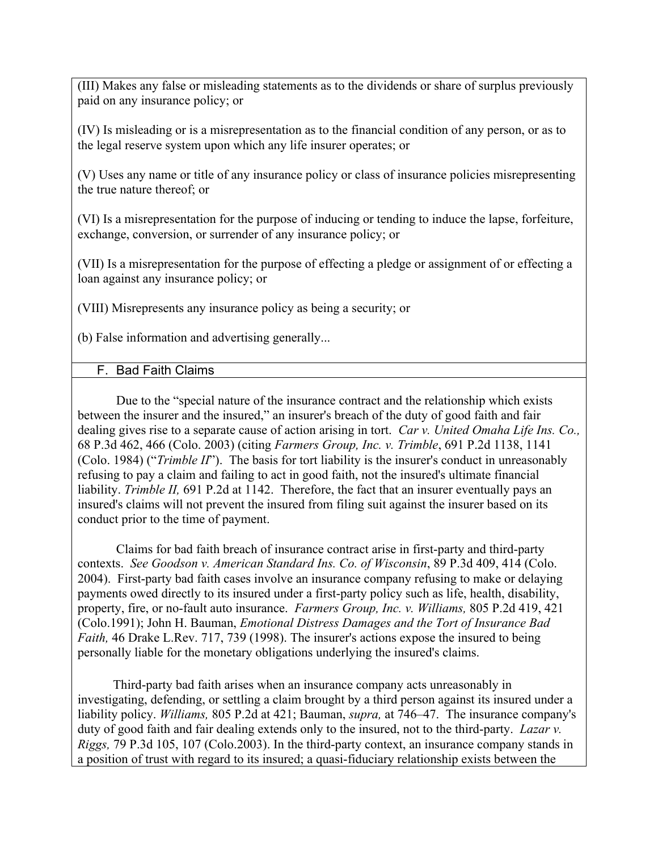(III) Makes any false or misleading statements as to the dividends or share of surplus previously paid on any insurance policy; or

(IV) Is misleading or is a misrepresentation as to the financial condition of any person, or as to the legal reserve system upon which any life insurer operates; or

(V) Uses any name or title of any insurance policy or class of insurance policies misrepresenting the true nature thereof; or

(VI) Is a misrepresentation for the purpose of inducing or tending to induce the lapse, forfeiture, exchange, conversion, or surrender of any insurance policy; or

(VII) Is a misrepresentation for the purpose of effecting a pledge or assignment of or effecting a loan against any insurance policy; or

(VIII) Misrepresents any insurance policy as being a security; or

(b) False information and advertising generally...

### F. Bad Faith Claims

Due to the "special nature of the insurance contract and the relationship which exists between the insurer and the insured," an insurer's breach of the duty of good faith and fair dealing gives rise to a separate cause of action arising in tort. *Car v. United Omaha Life Ins. Co.,* 68 P.3d 462, 466 (Colo. 2003) (citing *Farmers Group, Inc. v. Trimble*, 691 P.2d 1138, 1141 (Colo. 1984) ("*Trimble II*"). The basis for tort liability is the insurer's conduct in unreasonably refusing to pay a claim and failing to act in good faith, not the insured's ultimate financial liability. *Trimble II,* 691 P.2d at 1142. Therefore, the fact that an insurer eventually pays an insured's claims will not prevent the insured from filing suit against the insurer based on its conduct prior to the time of payment.

Claims for bad faith breach of insurance contract arise in first-party and third-party contexts. *See Goodson v. American Standard Ins. Co. of Wisconsin*, 89 P.3d 409, 414 (Colo. 2004). First-party bad faith cases involve an insurance company refusing to make or delaying payments owed directly to its insured under a first-party policy such as life, health, disability, property, fire, or no-fault auto insurance. *Farmers Group, Inc. v. Williams,* 805 P.2d 419, 421 (Colo.1991); John H. Bauman, *Emotional Distress Damages and the Tort of Insurance Bad Faith,* 46 Drake L.Rev. 717, 739 (1998). The insurer's actions expose the insured to being personally liable for the monetary obligations underlying the insured's claims.

 Third-party bad faith arises when an insurance company acts unreasonably in investigating, defending, or settling a claim brought by a third person against its insured under a liability policy. *Williams,* 805 P.2d at 421; Bauman, *supra,* at 746–47. The insurance company's duty of good faith and fair dealing extends only to the insured, not to the third-party. *Lazar v. Riggs,* 79 P.3d 105, 107 (Colo.2003). In the third-party context, an insurance company stands in a position of trust with regard to its insured; a quasi-fiduciary relationship exists between the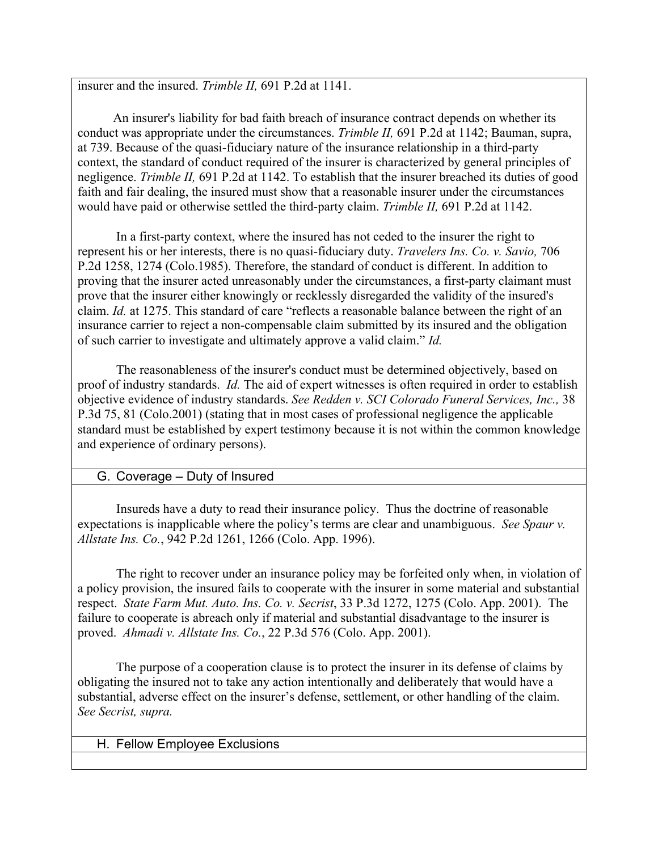insurer and the insured. *Trimble II,* 691 P.2d at 1141.

 An insurer's liability for bad faith breach of insurance contract depends on whether its conduct was appropriate under the circumstances. *Trimble II,* 691 P.2d at 1142; Bauman, supra, at 739. Because of the quasi-fiduciary nature of the insurance relationship in a third-party context, the standard of conduct required of the insurer is characterized by general principles of negligence. *Trimble II,* 691 P.2d at 1142. To establish that the insurer breached its duties of good faith and fair dealing, the insured must show that a reasonable insurer under the circumstances would have paid or otherwise settled the third-party claim. *Trimble II,* 691 P.2d at 1142.

In a first-party context, where the insured has not ceded to the insurer the right to represent his or her interests, there is no quasi-fiduciary duty. *Travelers Ins. Co. v. Savio,* 706 P.2d 1258, 1274 (Colo.1985). Therefore, the standard of conduct is different. In addition to proving that the insurer acted unreasonably under the circumstances, a first-party claimant must prove that the insurer either knowingly or recklessly disregarded the validity of the insured's claim. *Id.* at 1275. This standard of care "reflects a reasonable balance between the right of an insurance carrier to reject a non-compensable claim submitted by its insured and the obligation of such carrier to investigate and ultimately approve a valid claim." *Id.*

The reasonableness of the insurer's conduct must be determined objectively, based on proof of industry standards. *Id.* The aid of expert witnesses is often required in order to establish objective evidence of industry standards. *See Redden v. SCI Colorado Funeral Services, Inc.,* 38 P.3d 75, 81 (Colo.2001) (stating that in most cases of professional negligence the applicable standard must be established by expert testimony because it is not within the common knowledge and experience of ordinary persons).

### G. Coverage – Duty of Insured

Insureds have a duty to read their insurance policy. Thus the doctrine of reasonable expectations is inapplicable where the policy's terms are clear and unambiguous. *See Spaur v. Allstate Ins. Co.*, 942 P.2d 1261, 1266 (Colo. App. 1996).

The right to recover under an insurance policy may be forfeited only when, in violation of a policy provision, the insured fails to cooperate with the insurer in some material and substantial respect. *State Farm Mut. Auto. Ins. Co. v. Secrist*, 33 P.3d 1272, 1275 (Colo. App. 2001). The failure to cooperate is abreach only if material and substantial disadvantage to the insurer is proved. *Ahmadi v. Allstate Ins. Co.*, 22 P.3d 576 (Colo. App. 2001).

The purpose of a cooperation clause is to protect the insurer in its defense of claims by obligating the insured not to take any action intentionally and deliberately that would have a substantial, adverse effect on the insurer's defense, settlement, or other handling of the claim. *See Secrist, supra.*

#### H. Fellow Employee Exclusions